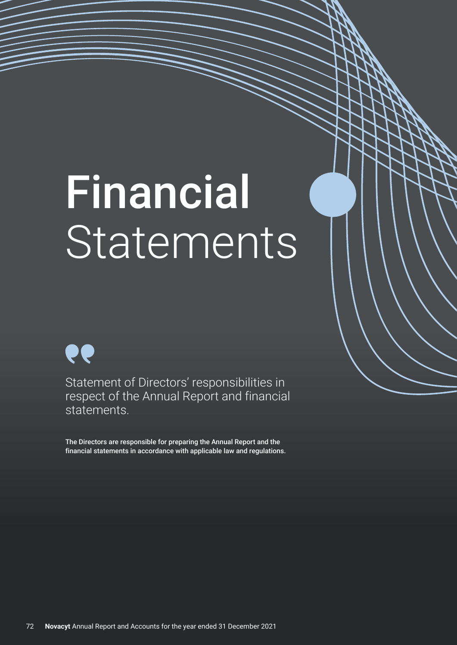# Financial Statements

ee

Statement of Directors' responsibilities in respect of the Annual Report and financial statements.

The Directors are responsible for preparing the Annual Report and the financial statements in accordance with applicable law and regulations.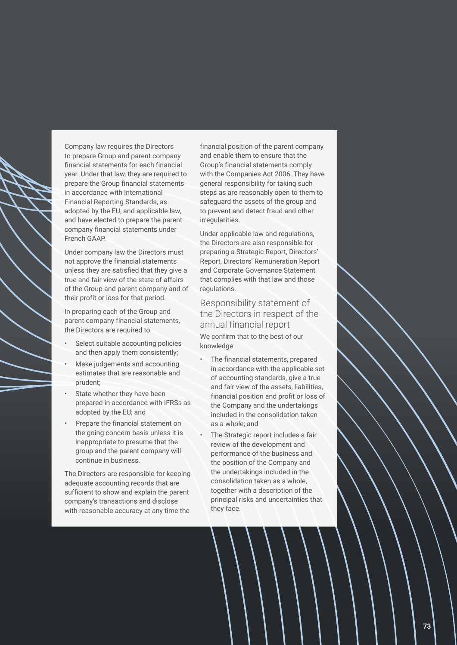

Company law requires the Directors to prepare Group and parent company financial statements for each financial year. Under that law, they are required to prepare the Group financial statements in accordance with International Financial Reporting Standards, as adopted by the EU, and applicable law, and have elected to prepare the parent company financial statements under French GAAP.

Under company law the Directors must not approve the financial statements unless they are satisfied that they give a true and fair view of the state of affairs of the Group and parent company and of their profit or loss for that period.

In preparing each of the Group and parent company financial statements, the Directors are required to:

- Select suitable accounting policies and then apply them consistently;
- Make judgements and accounting estimates that are reasonable and prudent;
- State whether they have been prepared in accordance with IFRSs as adopted by the EU; and
- Prepare the financial statement on the going concern basis unless it is inappropriate to presume that the group and the parent company will continue in business.

The Directors are responsible for keeping adequate accounting records that are sufficient to show and explain the parent company's transactions and disclose with reasonable accuracy at any time the financial position of the parent company and enable them to ensure that the Group's financial statements comply with the Companies Act 2006. They have general responsibility for taking such steps as are reasonably open to them to safeguard the assets of the group and to prevent and detect fraud and other irregularities.

Under applicable law and regulations, the Directors are also responsible for preparing a Strategic Report, Directors' Report, Directors' Remuneration Report and Corporate Governance Statement that complies with that law and those regulations.

# Responsibility statement of the Directors in respect of the annual financial report We confirm that to the best of our knowledge:

- The financial statements, prepared in accordance with the applicable set of accounting standards, give a true and fair view of the assets, liabilities, financial position and profit or loss of the Company and the undertakings included in the consolidation taken as a whole; and
- The Strategic report includes a fair review of the development and performance of the business and the position of the Company and the undertakings included in the consolidation taken as a whole, together with a description of the principal risks and uncertainties that they face.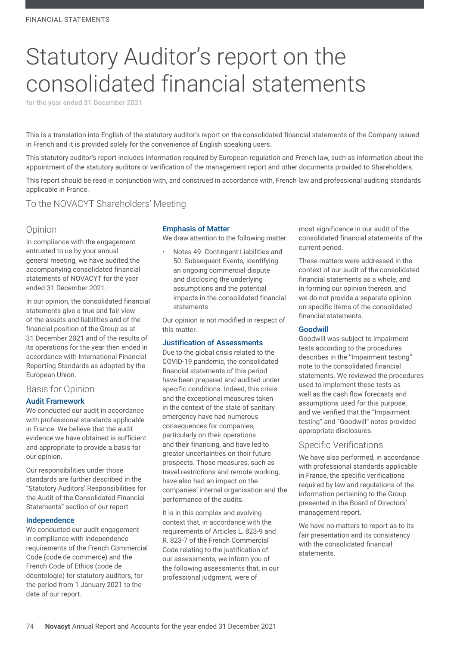# Statutory Auditor's report on the consolidated financial statements

for the year ended 31 December 2021

This is a translation into English of the statutory auditor's report on the consolidated financial statements of the Company issued in French and it is provided solely for the convenience of English speaking users.

This statutory auditor's report includes information required by European regulation and French law, such as information about the appointment of the statutory auditors or verification of the management report and other documents provided to Shareholders.

This report should be read in conjunction with, and construed in accordance with, French law and professional auditing standards applicable in France.

# To the NOVACYT Shareholders' Meeting

# Opinion

In compliance with the engagement entrusted to us by your annual general meeting, we have audited the accompanying consolidated financial statements of NOVACYT for the year ended 31 December 2021.

In our opinion, the consolidated financial statements give a true and fair view of the assets and liabilities and of the financial position of the Group as at 31 December 2021 and of the results of its operations for the year then ended in accordance with International Financial Reporting Standards as adopted by the European Union.

# Basis for Opinion

#### Audit Framework

We conducted our audit in accordance with professional standards applicable in France. We believe that the audit evidence we have obtained is sufficient and appropriate to provide a basis for our opinion.

Our responsibilities under those standards are further described in the "Statutory Auditors' Responsibilities for the Audit of the Consolidated Financial Statements" section of our report.

#### Independence

We conducted our audit engagement in compliance with independence requirements of the French Commercial Code (code de commerce) and the French Code of Ethics (code de déontologie) for statutory auditors, for the period from 1 January 2021 to the date of our report.

#### Emphasis of Matter

We draw attention to the following matter:

• Notes 49. Contingent Liabilities and 50. Subsequent Events, identifying an ongoing commercial dispute and disclosing the underlying assumptions and the potential impacts in the consolidated financial statements.

Our opinion is not modified in respect of this matter.

#### Justification of Assessments

Due to the global crisis related to the COVID-19 pandemic, the consolidated financial statements of this period have been prepared and audited under specific conditions. Indeed, this crisis and the exceptional measures taken in the context of the state of sanitary emergency have had numerous consequences for companies, particularly on their operations and their financing, and have led to greater uncertainties on their future prospects. Those measures, such as travel restrictions and remote working, have also had an impact on the companies' internal organisation and the performance of the audits.

It is in this complex and evolving context that, in accordance with the requirements of Articles L. 823-9 and R. 823-7 of the French Commercial Code relating to the justification of our assessments, we inform you of the following assessments that, in our professional judgment, were of

most significance in our audit of the consolidated financial statements of the current period.

These matters were addressed in the context of our audit of the consolidated financial statements as a whole, and in forming our opinion thereon, and we do not provide a separate opinion on specific items of the consolidated financial statements.

#### Goodwill

Goodwill was subject to impairment tests according to the procedures describes in the "Impairment testing" note to the consolidated financial statements. We reviewed the procedures used to implement these tests as well as the cash flow forecasts and assumptions used for this purpose, and we verified that the "Impairment testing" and "Goodwill" notes provided appropriate disclosures.

#### Specific Verifications

We have also performed, in accordance with professional standards applicable in France, the specific verifications required by law and regulations of the information pertaining to the Group presented in the Board of Directors' management report.

We have no matters to report as to its fair presentation and its consistency with the consolidated financial statements.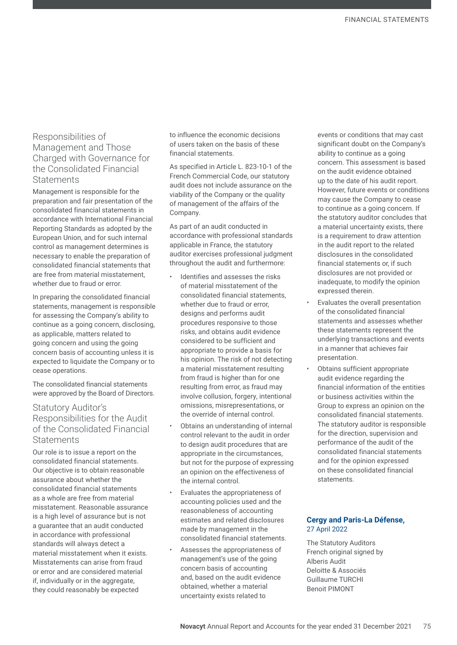# Responsibilities of Management and Those Charged with Governance for the Consolidated Financial **Statements**

Management is responsible for the preparation and fair presentation of the consolidated financial statements in accordance with International Financial Reporting Standards as adopted by the European Union, and for such internal control as management determines is necessary to enable the preparation of consolidated financial statements that are free from material misstatement whether due to fraud or error.

In preparing the consolidated financial statements, management is responsible for assessing the Company's ability to continue as a going concern, disclosing, as applicable, matters related to going concern and using the going concern basis of accounting unless it is expected to liquidate the Company or to cease operations.

The consolidated financial statements were approved by the Board of Directors.

# Statutory Auditor's Responsibilities for the Audit of the Consolidated Financial **Statements**

Our role is to issue a report on the consolidated financial statements. Our objective is to obtain reasonable assurance about whether the consolidated financial statements as a whole are free from material misstatement. Reasonable assurance is a high level of assurance but is not a guarantee that an audit conducted in accordance with professional standards will always detect a material misstatement when it exists. Misstatements can arise from fraud or error and are considered material if, individually or in the aggregate. they could reasonably be expected

to influence the economic decisions of users taken on the basis of these financial statements.

As specified in Article L. 823-10-1 of the French Commercial Code, our statutory audit does not include assurance on the viability of the Company or the quality of management of the affairs of the Company.

As part of an audit conducted in accordance with professional standards applicable in France, the statutory auditor exercises professional judgment throughout the audit and furthermore:

- Identifies and assesses the risks of material misstatement of the consolidated financial statements, whether due to fraud or error, designs and performs audit procedures responsive to those risks, and obtains audit evidence considered to be sufficient and appropriate to provide a basis for his opinion. The risk of not detecting a material misstatement resulting from fraud is higher than for one resulting from error, as fraud may involve collusion, forgery, intentional omissions, misrepresentations, or the override of internal control.
- Obtains an understanding of internal control relevant to the audit in order to design audit procedures that are appropriate in the circumstances, but not for the purpose of expressing an opinion on the effectiveness of the internal control.
- Evaluates the appropriateness of accounting policies used and the reasonableness of accounting estimates and related disclosures made by management in the consolidated financial statements.
- Assesses the appropriateness of management's use of the going concern basis of accounting and, based on the audit evidence obtained, whether a material uncertainty exists related to

events or conditions that may cast significant doubt on the Company's ability to continue as a going concern. This assessment is based on the audit evidence obtained up to the date of his audit report. However, future events or conditions may cause the Company to cease to continue as a going concern. If the statutory auditor concludes that a material uncertainty exists, there is a requirement to draw attention in the audit report to the related disclosures in the consolidated financial statements or, if such disclosures are not provided or inadequate, to modify the opinion expressed therein.

- Evaluates the overall presentation of the consolidated financial statements and assesses whether these statements represent the underlying transactions and events in a manner that achieves fair presentation.
- Obtains sufficient appropriate audit evidence regarding the financial information of the entities or business activities within the Group to express an opinion on the consolidated financial statements. The statutory auditor is responsible for the direction, supervision and performance of the audit of the consolidated financial statements and for the opinion expressed on these consolidated financial statements.

#### **Cergy and Paris-La Défense,**  27 April 2022

The Statutory Auditors French original signed by Alberis Audit Deloitte & Associés Guillaume TURCHI Benoit PIMONT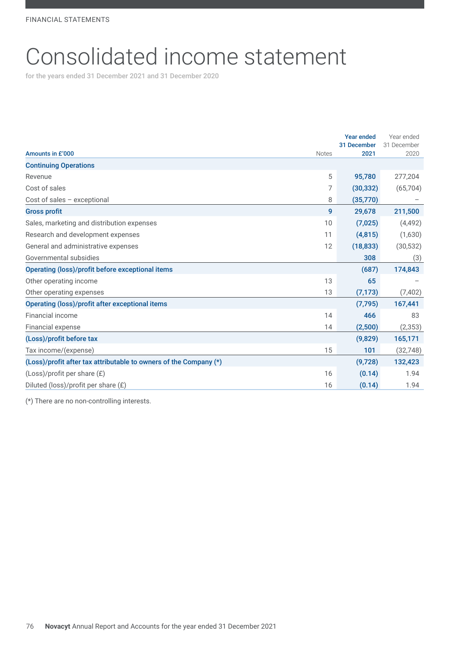# Consolidated income statement

for the years ended 31 December 2021 and 31 December 2020

|                                                                   |              | <b>Year ended</b> | Year ended  |
|-------------------------------------------------------------------|--------------|-------------------|-------------|
|                                                                   |              | 31 December       | 31 December |
| Amounts in £'000                                                  | <b>Notes</b> | 2021              | 2020        |
| <b>Continuing Operations</b>                                      |              |                   |             |
| Revenue                                                           | 5            | 95,780            | 277,204     |
| Cost of sales                                                     | 7            | (30, 332)         | (65, 704)   |
| Cost of sales - exceptional                                       | 8            | (35,770)          |             |
| <b>Gross profit</b>                                               | 9            | 29,678            | 211,500     |
| Sales, marketing and distribution expenses                        | 10           | (7,025)           | (4, 492)    |
| Research and development expenses                                 | 11           | (4,815)           | (1,630)     |
| General and administrative expenses                               | 12           | (18, 833)         | (30, 532)   |
| Governmental subsidies                                            |              | 308               | (3)         |
| Operating (loss)/profit before exceptional items                  |              | (687)             | 174,843     |
| Other operating income                                            | 13           | 65                |             |
| Other operating expenses                                          | 13           | (7, 173)          | (7, 402)    |
| Operating (loss)/profit after exceptional items                   |              | (7, 795)          | 167,441     |
| Financial income                                                  | 14           | 466               | 83          |
| Financial expense                                                 | 14           | (2,500)           | (2, 353)    |
| (Loss)/profit before tax                                          |              | (9,829)           | 165,171     |
| Tax income/(expense)                                              | 15           | 101               | (32, 748)   |
| (Loss)/profit after tax attributable to owners of the Company (*) |              | (9,728)           | 132,423     |
| $(Loss)/profit$ per share $(E)$                                   | 16           | (0.14)            | 1.94        |
| Diluted (loss)/profit per share $(E)$                             | 16           | (0.14)            | 1.94        |

(\*) There are no non-controlling interests.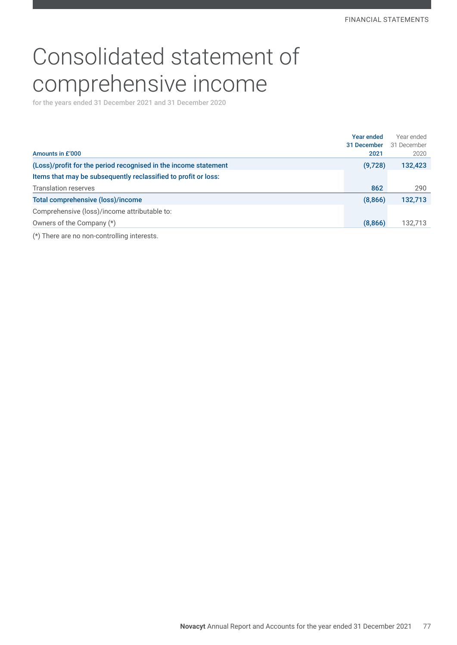# Consolidated statement of comprehensive income

for the years ended 31 December 2021 and 31 December 2020

|                                                                 | Year ended  | Year ended  |
|-----------------------------------------------------------------|-------------|-------------|
|                                                                 | 31 December | 31 December |
| Amounts in £'000                                                | 2021        | 2020        |
| (Loss)/profit for the period recognised in the income statement | (9,728)     | 132,423     |
| Items that may be subsequently reclassified to profit or loss:  |             |             |
| <b>Translation reserves</b>                                     | 862         | 290         |
| Total comprehensive (loss)/income                               | (8,866)     | 132,713     |
| Comprehensive (loss)/income attributable to:                    |             |             |
| Owners of the Company (*)                                       | (8,866)     | 132,713     |
| (*) There are no non-controlling interests.                     |             |             |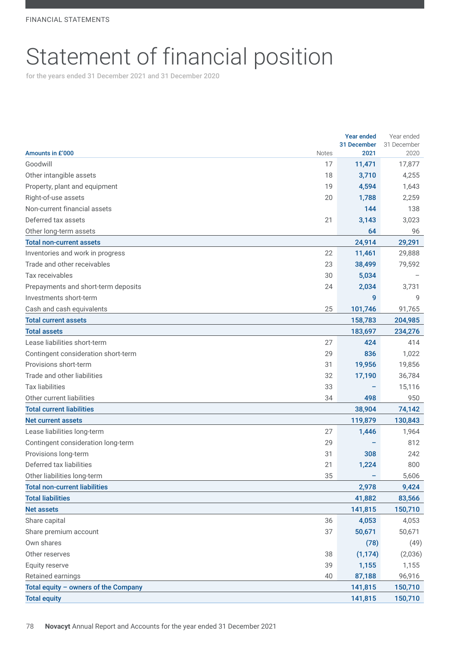# Statement of financial position

for the years ended 31 December 2021 and 31 December 2020

|                                      |              | <b>Year ended</b>   | Year ended          |
|--------------------------------------|--------------|---------------------|---------------------|
| Amounts in £'000                     | <b>Notes</b> | 31 December<br>2021 | 31 December<br>2020 |
| Goodwill                             | 17           | 11,471              | 17,877              |
| Other intangible assets              | 18           | 3,710               | 4,255               |
| Property, plant and equipment        | 19           | 4,594               | 1,643               |
| Right-of-use assets                  | 20           |                     |                     |
| Non-current financial assets         |              | 1,788<br>144        | 2,259<br>138        |
| Deferred tax assets                  |              |                     |                     |
| Other long-term assets               | 21           | 3,143<br>64         | 3,023<br>96         |
| <b>Total non-current assets</b>      |              | 24,914              |                     |
|                                      | 22           |                     | 29,291              |
| Inventories and work in progress     |              | 11,461              | 29,888              |
| Trade and other receivables          | 23           | 38,499              | 79,592              |
| Tax receivables                      | 30           | 5,034               |                     |
| Prepayments and short-term deposits  | 24           | 2,034               | 3,731               |
| Investments short-term               |              | 9                   | 9                   |
| Cash and cash equivalents            | 25           | 101,746             | 91,765              |
| <b>Total current assets</b>          |              | 158,783             | 204,985             |
| Total assets                         |              | 183,697             | 234,276             |
| Lease liabilities short-term         | 27           | 424                 | 414                 |
| Contingent consideration short-term  | 29           | 836                 | 1,022               |
| Provisions short-term                | 31           | 19,956              | 19,856              |
| Trade and other liabilities          | 32           | 17,190              | 36,784              |
| <b>Tax liabilities</b>               | 33           |                     | 15,116              |
| Other current liabilities            | 34           | 498                 | 950                 |
| <b>Total current liabilities</b>     |              | 38,904              | 74,142              |
| <b>Net current assets</b>            |              | 119,879             | 130,843             |
| Lease liabilities long-term          | 27           | 1,446               | 1,964               |
| Contingent consideration long-term   | 29           |                     | 812                 |
| Provisions long-term                 | 31           | 308                 | 242                 |
| Deferred tax liabilities             | 21           | 1,224               | 800                 |
| Other liabilities long-term          | 35           |                     | 5,606               |
| <b>Total non-current liabilities</b> |              | 2,978               | 9,424               |
| <b>Total liabilities</b>             |              | 41,882              | 83,566              |
| <b>Net assets</b>                    |              | 141,815             | 150,710             |
| Share capital                        | 36           | 4,053               | 4,053               |
| Share premium account                | 37           | 50,671              | 50,671              |
| Own shares                           |              | (78)                | (49)                |
| Other reserves                       | 38           | (1, 174)            | (2,036)             |
| Equity reserve                       | 39           | 1,155               | 1,155               |
| Retained earnings                    | 40           | 87,188              | 96,916              |
| Total equity - owners of the Company |              | 141,815             | 150,710             |
| <b>Total equity</b>                  |              | 141,815             | 150,710             |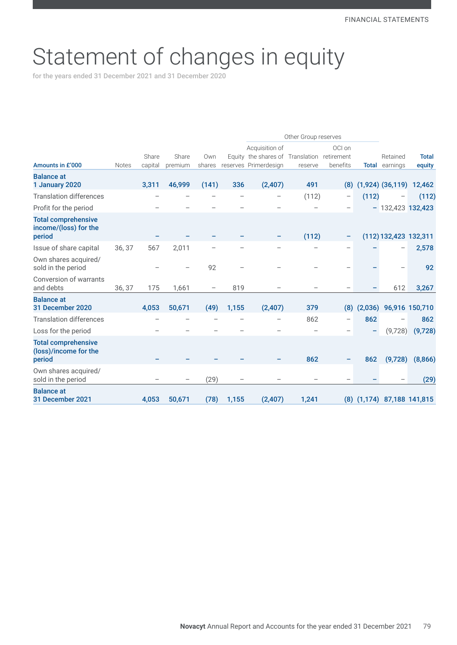# Statement of changes in equity

for the years ended 31 December 2021 and 31 December 2020

|                                                               |              |         |         |                          |       | Other Group reserves                        |         |                   |              |                                   |                |
|---------------------------------------------------------------|--------------|---------|---------|--------------------------|-------|---------------------------------------------|---------|-------------------|--------------|-----------------------------------|----------------|
|                                                               |              |         |         |                          |       | Acquisition of                              |         | OCI on            |              |                                   |                |
|                                                               |              | Share   | Share   | Own                      |       | Equity the shares of Translation retirement |         |                   |              | Retained                          | <b>Total</b>   |
| Amounts in £'000                                              | <b>Notes</b> | capital | premium | shares                   |       | reserves Primerdesign                       | reserve | benefits          | <b>Total</b> | earnings                          | equity         |
| <b>Balance at</b><br>1 January 2020                           |              | 3,311   | 46,999  | (141)                    | 336   | (2,407)                                     | 491     | (8)               |              | $(1,924)$ $(36,119)$              | 12,462         |
| <b>Translation differences</b>                                |              |         |         |                          |       | $\qquad \qquad$                             | (112)   | $\qquad \qquad -$ | (112)        | $\qquad \qquad -$                 | (112)          |
| Profit for the period                                         |              |         |         |                          |       |                                             |         |                   |              | $-132,423$ 132,423                |                |
| <b>Total comprehensive</b><br>income/(loss) for the<br>period |              |         |         |                          |       |                                             | (112)   | -                 |              | (112) 132,423 132,311             |                |
| Issue of share capital                                        | 36, 37       | 567     | 2,011   |                          |       |                                             |         |                   |              |                                   | 2,578          |
| Own shares acquired/<br>sold in the period                    |              |         |         | 92                       |       |                                             |         |                   |              | $\overbrace{\phantom{123221111}}$ | 92             |
| <b>Conversion of warrants</b><br>and debts                    | 36, 37       | 175     | 1,661   | $\overline{\phantom{m}}$ | 819   |                                             |         |                   |              | 612                               | 3,267          |
| <b>Balance at</b><br>31 December 2020                         |              | 4,053   | 50,671  | (49)                     | 1,155 | (2,407)                                     | 379     | (8)               | (2,036)      |                                   | 96,916 150,710 |
| <b>Translation differences</b>                                |              |         |         |                          |       |                                             | 862     | $\qquad \qquad -$ | 862          |                                   | 862            |
| Loss for the period                                           |              |         |         |                          |       |                                             |         |                   | -            | (9,728)                           | (9,728)        |
| <b>Total comprehensive</b><br>(loss)/income for the<br>period |              |         |         |                          |       |                                             | 862     | -                 | 862          | (9,728)                           | (8,866)        |
| Own shares acquired/<br>sold in the period                    |              |         |         | (29)                     |       |                                             |         |                   |              |                                   | (29)           |
| <b>Balance at</b><br>31 December 2021                         |              | 4,053   | 50,671  | (78)                     | 1,155 | (2, 407)                                    | 1,241   |                   |              | (8) (1,174) 87,188 141,815        |                |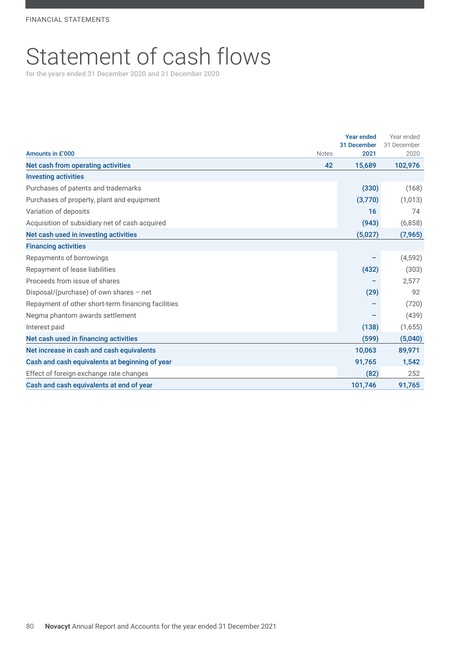# Statement of cash flows

for the years ended 31 December 2020 and 31 December 2020

|                                                    | <b>Year ended</b> | Year ended  |
|----------------------------------------------------|-------------------|-------------|
|                                                    | 31 December       | 31 December |
| Amounts in £'000<br><b>Notes</b>                   | 2021              | 2020        |
| 42<br>Net cash from operating activities           | 15,689            | 102,976     |
| <b>Investing activities</b>                        |                   |             |
| Purchases of patents and trademarks                | (330)             | (168)       |
| Purchases of property, plant and equipment         | (3,770)           | (1,013)     |
| Variation of deposits                              | 16                | 74          |
| Acquisition of subsidiary net of cash acquired     | (943)             | (6,858)     |
| Net cash used in investing activities              | (5,027)           | (7, 965)    |
| <b>Financing activities</b>                        |                   |             |
| Repayments of borrowings                           |                   | (4, 592)    |
| Repayment of lease liabilities                     | (432)             | (303)       |
| Proceeds from issue of shares                      |                   | 2,577       |
| Disposal/(purchase) of own shares $-$ net          | (29)              | 92          |
| Repayment of other short-term financing facilities |                   | (720)       |
| Negma phantom awards settlement                    |                   | (439)       |
| Interest paid                                      | (138)             | (1,655)     |
| Net cash used in financing activities              | (599)             | (5,040)     |
| Net increase in cash and cash equivalents          | 10,063            | 89,971      |
| Cash and cash equivalents at beginning of year     | 91,765            | 1,542       |
| Effect of foreign exchange rate changes            | (82)              | 252         |
| Cash and cash equivalents at end of year           | 101,746           | 91,765      |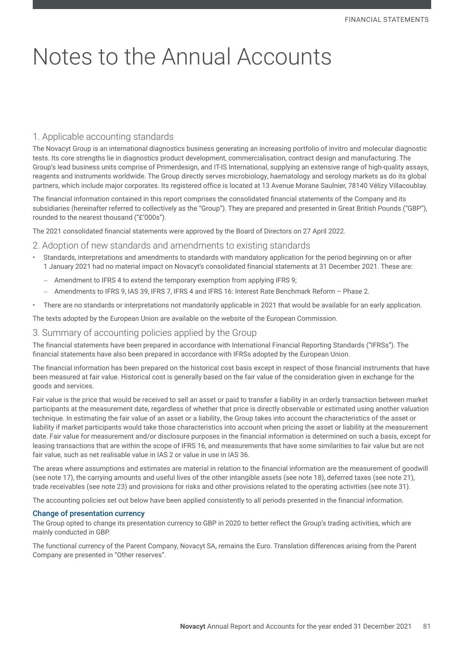# Notes to the Annual Accounts

# 1. Applicable accounting standards

The Novacyt Group is an international diagnostics business generating an increasing portfolio of invitro and molecular diagnostic tests. Its core strengths lie in diagnostics product development, commercialisation, contract design and manufacturing. The Group's lead business units comprise of Primerdesign, and IT-IS International, supplying an extensive range of high-quality assays, reagents and instruments worldwide. The Group directly serves microbiology, haematology and serology markets as do its global partners, which include major corporates. Its registered office is located at 13 Avenue Morane Saulnier, 78140 Vélizy Villacoublay.

The financial information contained in this report comprises the consolidated financial statements of the Company and its subsidiaries (hereinafter referred to collectively as the "Group"). They are prepared and presented in Great British Pounds ("GBP"), rounded to the nearest thousand ("£'000s").

The 2021 consolidated financial statements were approved by the Board of Directors on 27 April 2022.

#### 2. Adoption of new standards and amendments to existing standards

- Standards, interpretations and amendments to standards with mandatory application for the period beginning on or after 1 January 2021 had no material impact on Novacyt's consolidated financial statements at 31 December 2021. These are:
	- − Amendment to IFRS 4 to extend the temporary exemption from applying IFRS 9;
	- − Amendments to IFRS 9, IAS 39, IFRS 7, IFRS 4 and IFRS 16: Interest Rate Benchmark Reform Phase 2.
- There are no standards or interpretations not mandatorily applicable in 2021 that would be available for an early application.

The texts adopted by the European Union are available on the website of the European Commission.

#### 3. Summary of accounting policies applied by the Group

The financial statements have been prepared in accordance with International Financial Reporting Standards ("IFRSs"). The financial statements have also been prepared in accordance with IFRSs adopted by the European Union.

The financial information has been prepared on the historical cost basis except in respect of those financial instruments that have been measured at fair value. Historical cost is generally based on the fair value of the consideration given in exchange for the goods and services.

Fair value is the price that would be received to sell an asset or paid to transfer a liability in an orderly transaction between market participants at the measurement date, regardless of whether that price is directly observable or estimated using another valuation technique. In estimating the fair value of an asset or a liability, the Group takes into account the characteristics of the asset or liability if market participants would take those characteristics into account when pricing the asset or liability at the measurement date. Fair value for measurement and/or disclosure purposes in the financial information is determined on such a basis, except for leasing transactions that are within the scope of IFRS 16, and measurements that have some similarities to fair value but are not fair value, such as net realisable value in IAS 2 or value in use in IAS 36.

The areas where assumptions and estimates are material in relation to the financial information are the measurement of goodwill (see note 17), the carrying amounts and useful lives of the other intangible assets (see note 18), deferred taxes (see note 21), trade receivables (see note 23) and provisions for risks and other provisions related to the operating activities (see note 31).

The accounting policies set out below have been applied consistently to all periods presented in the financial information.

#### Change of presentation currency

The Group opted to change its presentation currency to GBP in 2020 to better reflect the Group's trading activities, which are mainly conducted in GBP.

The functional currency of the Parent Company, Novacyt SA, remains the Euro. Translation differences arising from the Parent Company are presented in "Other reserves".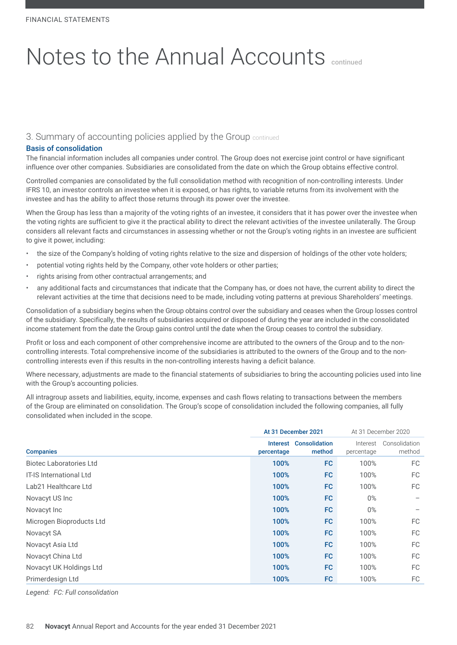# 3. Summary of accounting policies applied by the Group continued

#### Basis of consolidation

The financial information includes all companies under control. The Group does not exercise joint control or have significant influence over other companies. Subsidiaries are consolidated from the date on which the Group obtains effective control.

Controlled companies are consolidated by the full consolidation method with recognition of non-controlling interests. Under IFRS 10, an investor controls an investee when it is exposed, or has rights, to variable returns from its involvement with the investee and has the ability to affect those returns through its power over the investee.

When the Group has less than a majority of the voting rights of an investee, it considers that it has power over the investee when the voting rights are sufficient to give it the practical ability to direct the relevant activities of the investee unilaterally. The Group considers all relevant facts and circumstances in assessing whether or not the Group's voting rights in an investee are sufficient to give it power, including:

- the size of the Company's holding of voting rights relative to the size and dispersion of holdings of the other vote holders;
- potential voting rights held by the Company, other vote holders or other parties;
- rights arising from other contractual arrangements; and
- any additional facts and circumstances that indicate that the Company has, or does not have, the current ability to direct the relevant activities at the time that decisions need to be made, including voting patterns at previous Shareholders' meetings.

Consolidation of a subsidiary begins when the Group obtains control over the subsidiary and ceases when the Group losses control of the subsidiary. Specifically, the results of subsidiaries acquired or disposed of during the year are included in the consolidated income statement from the date the Group gains control until the date when the Group ceases to control the subsidiary.

Profit or loss and each component of other comprehensive income are attributed to the owners of the Group and to the noncontrolling interests. Total comprehensive income of the subsidiaries is attributed to the owners of the Group and to the noncontrolling interests even if this results in the non-controlling interests having a deficit balance.

Where necessary, adjustments are made to the financial statements of subsidiaries to bring the accounting policies used into line with the Group's accounting policies.

All intragroup assets and liabilities, equity, income, expenses and cash flows relating to transactions between the members of the Group are eliminated on consolidation. The Group's scope of consolidation included the following companies, all fully consolidated when included in the scope.

|                                |            | At 31 December 2021              | At 31 December 2020    |                         |
|--------------------------------|------------|----------------------------------|------------------------|-------------------------|
| <b>Companies</b>               | percentage | Interest Consolidation<br>method | Interest<br>percentage | Consolidation<br>method |
| <b>Biotec Laboratories Ltd</b> | 100%       | FC                               | 100%                   | FC                      |
| <b>IT-IS International Ltd</b> | 100%       | FC.                              | 100%                   | FC.                     |
| Lab21 Healthcare Ltd           | 100%       | FC                               | 100%                   | FC.                     |
| Novacyt US Inc                 | 100%       | FC.                              | $0\%$                  |                         |
| Novacyt Inc                    | 100%       | FC                               | $0\%$                  |                         |
| Microgen Bioproducts Ltd       | 100%       | FC.                              | 100%                   | FC.                     |
| Novacyt SA                     | 100%       | FC                               | 100%                   | FC.                     |
| Novacyt Asia Ltd               | 100%       | FC                               | 100%                   | FC.                     |
| Novacyt China Ltd              | 100%       | FC                               | 100%                   | FC.                     |
| Novacyt UK Holdings Ltd        | 100%       | FC                               | 100%                   | FC.                     |
| Primerdesign Ltd               | 100%       | FC                               | 100%                   | FC.                     |

*Legend: FC: Full consolidation*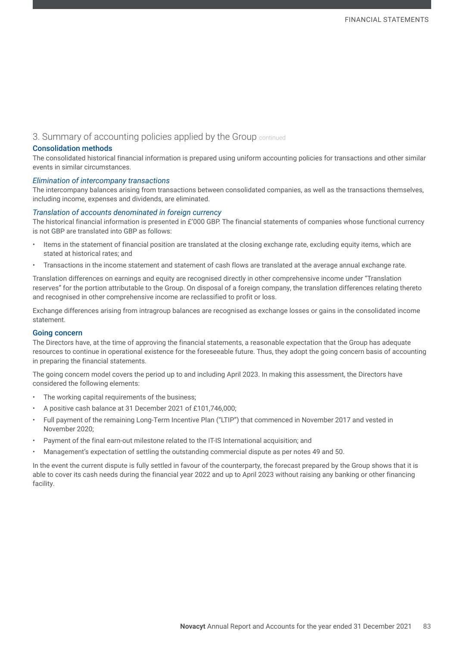# 3. Summary of accounting policies applied by the Group continued

#### Consolidation methods

The consolidated historical financial information is prepared using uniform accounting policies for transactions and other similar events in similar circumstances.

#### *Elimination of intercompany transactions*

The intercompany balances arising from transactions between consolidated companies, as well as the transactions themselves, including income, expenses and dividends, are eliminated.

#### *Translation of accounts denominated in foreign currency*

The historical financial information is presented in £'000 GBP. The financial statements of companies whose functional currency is not GBP are translated into GBP as follows:

- Items in the statement of financial position are translated at the closing exchange rate, excluding equity items, which are stated at historical rates; and
- Transactions in the income statement and statement of cash flows are translated at the average annual exchange rate.

Translation differences on earnings and equity are recognised directly in other comprehensive income under "Translation reserves" for the portion attributable to the Group. On disposal of a foreign company, the translation differences relating thereto and recognised in other comprehensive income are reclassified to profit or loss.

Exchange differences arising from intragroup balances are recognised as exchange losses or gains in the consolidated income statement.

#### Going concern

The Directors have, at the time of approving the financial statements, a reasonable expectation that the Group has adequate resources to continue in operational existence for the foreseeable future. Thus, they adopt the going concern basis of accounting in preparing the financial statements.

The going concern model covers the period up to and including April 2023. In making this assessment, the Directors have considered the following elements:

- The working capital requirements of the business;
- A positive cash balance at 31 December 2021 of £101,746,000;
- Full payment of the remaining Long-Term Incentive Plan ("LTIP") that commenced in November 2017 and vested in November 2020;
- Payment of the final earn-out milestone related to the IT-IS International acquisition; and
- Management's expectation of settling the outstanding commercial dispute as per notes 49 and 50.

In the event the current dispute is fully settled in favour of the counterparty, the forecast prepared by the Group shows that it is able to cover its cash needs during the financial year 2022 and up to April 2023 without raising any banking or other financing facility.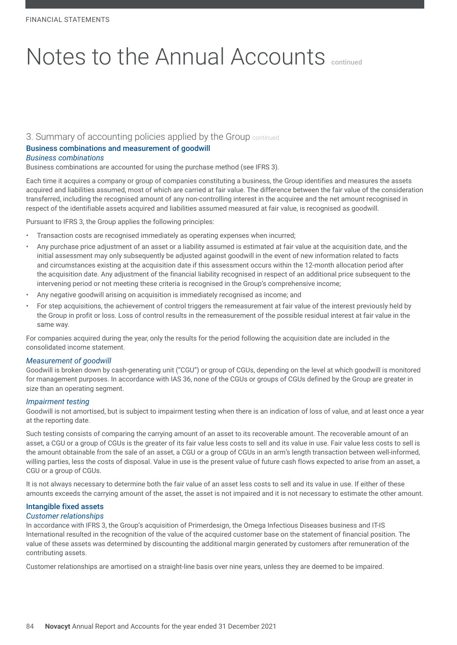### 3. Summary of accounting policies applied by the Group continued

### Business combinations and measurement of goodwill

#### *Business combinations*

Business combinations are accounted for using the purchase method (see IFRS 3).

Each time it acquires a company or group of companies constituting a business, the Group identifies and measures the assets acquired and liabilities assumed, most of which are carried at fair value. The difference between the fair value of the consideration transferred, including the recognised amount of any non-controlling interest in the acquiree and the net amount recognised in respect of the identifiable assets acquired and liabilities assumed measured at fair value, is recognised as goodwill.

Pursuant to IFRS 3, the Group applies the following principles:

- Transaction costs are recognised immediately as operating expenses when incurred;
- Any purchase price adjustment of an asset or a liability assumed is estimated at fair value at the acquisition date, and the initial assessment may only subsequently be adjusted against goodwill in the event of new information related to facts and circumstances existing at the acquisition date if this assessment occurs within the 12-month allocation period after the acquisition date. Any adjustment of the financial liability recognised in respect of an additional price subsequent to the intervening period or not meeting these criteria is recognised in the Group's comprehensive income;
- Any negative goodwill arising on acquisition is immediately recognised as income; and
- For step acquisitions, the achievement of control triggers the remeasurement at fair value of the interest previously held by the Group in profit or loss. Loss of control results in the remeasurement of the possible residual interest at fair value in the same way.

For companies acquired during the year, only the results for the period following the acquisition date are included in the consolidated income statement.

#### *Measurement of goodwill*

Goodwill is broken down by cash-generating unit ("CGU") or group of CGUs, depending on the level at which goodwill is monitored for management purposes. In accordance with IAS 36, none of the CGUs or groups of CGUs defined by the Group are greater in size than an operating segment.

#### *Impairment testing*

Goodwill is not amortised, but is subject to impairment testing when there is an indication of loss of value, and at least once a year at the reporting date.

Such testing consists of comparing the carrying amount of an asset to its recoverable amount. The recoverable amount of an asset, a CGU or a group of CGUs is the greater of its fair value less costs to sell and its value in use. Fair value less costs to sell is the amount obtainable from the sale of an asset, a CGU or a group of CGUs in an arm's length transaction between well-informed, willing parties, less the costs of disposal. Value in use is the present value of future cash flows expected to arise from an asset, a CGU or a group of CGUs.

It is not always necessary to determine both the fair value of an asset less costs to sell and its value in use. If either of these amounts exceeds the carrying amount of the asset, the asset is not impaired and it is not necessary to estimate the other amount.

#### Intangible fixed assets *Customer relationships*

In accordance with IFRS 3, the Group's acquisition of Primerdesign, the Omega Infectious Diseases business and IT-IS International resulted in the recognition of the value of the acquired customer base on the statement of financial position. The value of these assets was determined by discounting the additional margin generated by customers after remuneration of the contributing assets.

Customer relationships are amortised on a straight-line basis over nine years, unless they are deemed to be impaired.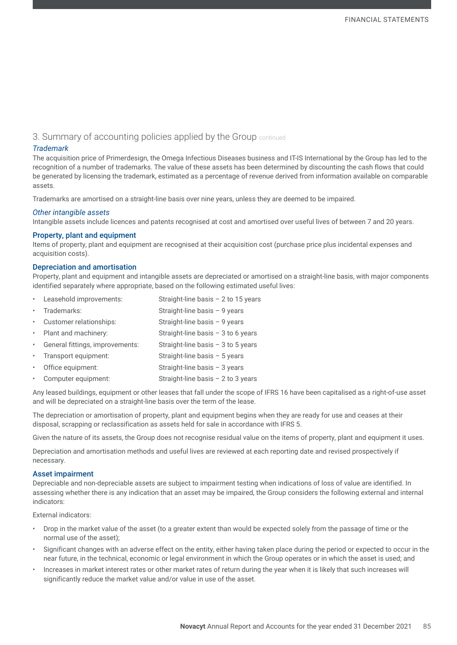# 3. Summary of accounting policies applied by the Group continued

#### *Trademark*

The acquisition price of Primerdesign, the Omega Infectious Diseases business and IT-IS International by the Group has led to the recognition of a number of trademarks. The value of these assets has been determined by discounting the cash flows that could be generated by licensing the trademark, estimated as a percentage of revenue derived from information available on comparable assets.

Trademarks are amortised on a straight-line basis over nine years, unless they are deemed to be impaired.

#### *Other intangible assets*

Intangible assets include licences and patents recognised at cost and amortised over useful lives of between 7 and 20 years.

#### Property, plant and equipment

Items of property, plant and equipment are recognised at their acquisition cost (purchase price plus incidental expenses and acquisition costs).

#### Depreciation and amortisation

Property, plant and equipment and intangible assets are depreciated or amortised on a straight-line basis, with major components identified separately where appropriate, based on the following estimated useful lives:

|             | • Leasehold improvements:       | Straight-line basis $-2$ to 15 years |
|-------------|---------------------------------|--------------------------------------|
| $\bullet$   | Trademarks:                     | Straight-line basis $-9$ years       |
| $\bullet$ . | Customer relationships:         | Straight-line basis $-9$ years       |
|             | • Plant and machinery:          | Straight-line basis $-3$ to 6 years  |
| $\bullet$ . | General fittings, improvements: | Straight-line basis $-3$ to 5 years  |
| $\bullet$ . | Transport equipment:            | Straight-line basis $-5$ years       |
| $\bullet$ . | Office equipment:               | Straight-line basis $-3$ years       |
| $\bullet$ . | Computer equipment:             | Straight-line basis $-2$ to 3 years  |

Any leased buildings, equipment or other leases that fall under the scope of IFRS 16 have been capitalised as a right-of-use asset and will be depreciated on a straight-line basis over the term of the lease.

The depreciation or amortisation of property, plant and equipment begins when they are ready for use and ceases at their disposal, scrapping or reclassification as assets held for sale in accordance with IFRS 5.

Given the nature of its assets, the Group does not recognise residual value on the items of property, plant and equipment it uses.

Depreciation and amortisation methods and useful lives are reviewed at each reporting date and revised prospectively if necessary.

#### Asset impairment

Depreciable and non-depreciable assets are subject to impairment testing when indications of loss of value are identified. In assessing whether there is any indication that an asset may be impaired, the Group considers the following external and internal indicators:

External indicators:

- Drop in the market value of the asset (to a greater extent than would be expected solely from the passage of time or the normal use of the asset);
- Significant changes with an adverse effect on the entity, either having taken place during the period or expected to occur in the near future, in the technical, economic or legal environment in which the Group operates or in which the asset is used; and
- Increases in market interest rates or other market rates of return during the year when it is likely that such increases will significantly reduce the market value and/or value in use of the asset.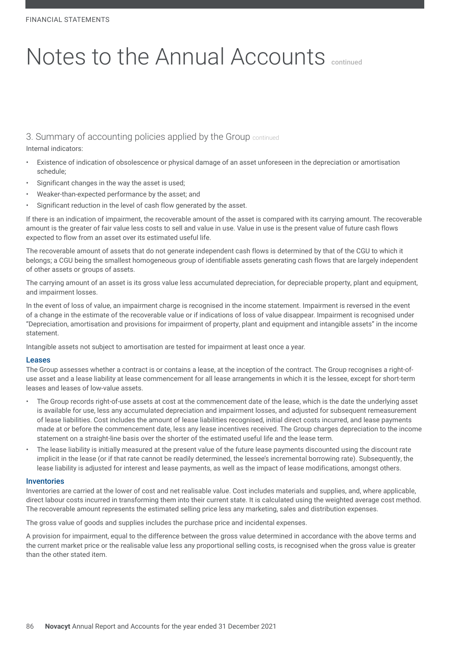3. Summary of accounting policies applied by the Group continued

Internal indicators:

- Existence of indication of obsolescence or physical damage of an asset unforeseen in the depreciation or amortisation schedule;
- Significant changes in the way the asset is used;
- Weaker-than-expected performance by the asset; and
- Significant reduction in the level of cash flow generated by the asset.

If there is an indication of impairment, the recoverable amount of the asset is compared with its carrying amount. The recoverable amount is the greater of fair value less costs to sell and value in use. Value in use is the present value of future cash flows expected to flow from an asset over its estimated useful life.

The recoverable amount of assets that do not generate independent cash flows is determined by that of the CGU to which it belongs; a CGU being the smallest homogeneous group of identifiable assets generating cash flows that are largely independent of other assets or groups of assets.

The carrying amount of an asset is its gross value less accumulated depreciation, for depreciable property, plant and equipment, and impairment losses.

In the event of loss of value, an impairment charge is recognised in the income statement. Impairment is reversed in the event of a change in the estimate of the recoverable value or if indications of loss of value disappear. Impairment is recognised under "Depreciation, amortisation and provisions for impairment of property, plant and equipment and intangible assets" in the income statement.

Intangible assets not subject to amortisation are tested for impairment at least once a year.

#### Leases

The Group assesses whether a contract is or contains a lease, at the inception of the contract. The Group recognises a right-ofuse asset and a lease liability at lease commencement for all lease arrangements in which it is the lessee, except for short-term leases and leases of low-value assets.

- The Group records right-of-use assets at cost at the commencement date of the lease, which is the date the underlying asset is available for use, less any accumulated depreciation and impairment losses, and adjusted for subsequent remeasurement of lease liabilities. Cost includes the amount of lease liabilities recognised, initial direct costs incurred, and lease payments made at or before the commencement date, less any lease incentives received. The Group charges depreciation to the income statement on a straight-line basis over the shorter of the estimated useful life and the lease term.
- The lease liability is initially measured at the present value of the future lease payments discounted using the discount rate implicit in the lease (or if that rate cannot be readily determined, the lessee's incremental borrowing rate). Subsequently, the lease liability is adjusted for interest and lease payments, as well as the impact of lease modifications, amongst others.

#### Inventories

Inventories are carried at the lower of cost and net realisable value. Cost includes materials and supplies, and, where applicable, direct labour costs incurred in transforming them into their current state. It is calculated using the weighted average cost method. The recoverable amount represents the estimated selling price less any marketing, sales and distribution expenses.

The gross value of goods and supplies includes the purchase price and incidental expenses.

A provision for impairment, equal to the difference between the gross value determined in accordance with the above terms and the current market price or the realisable value less any proportional selling costs, is recognised when the gross value is greater than the other stated item.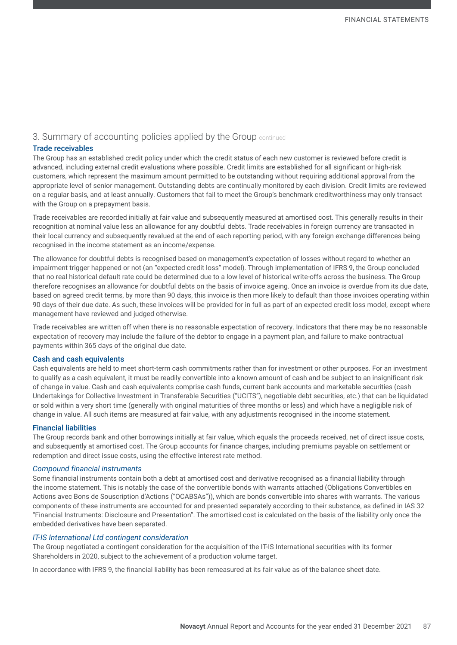### 3. Summary of accounting policies applied by the Group continued

#### Trade receivables

The Group has an established credit policy under which the credit status of each new customer is reviewed before credit is advanced, including external credit evaluations where possible. Credit limits are established for all significant or high-risk customers, which represent the maximum amount permitted to be outstanding without requiring additional approval from the appropriate level of senior management. Outstanding debts are continually monitored by each division. Credit limits are reviewed on a regular basis, and at least annually. Customers that fail to meet the Group's benchmark creditworthiness may only transact with the Group on a prepayment basis.

Trade receivables are recorded initially at fair value and subsequently measured at amortised cost. This generally results in their recognition at nominal value less an allowance for any doubtful debts. Trade receivables in foreign currency are transacted in their local currency and subsequently revalued at the end of each reporting period, with any foreign exchange differences being recognised in the income statement as an income/expense.

The allowance for doubtful debts is recognised based on management's expectation of losses without regard to whether an impairment trigger happened or not (an "expected credit loss" model). Through implementation of IFRS 9, the Group concluded that no real historical default rate could be determined due to a low level of historical write-offs across the business. The Group therefore recognises an allowance for doubtful debts on the basis of invoice ageing. Once an invoice is overdue from its due date, based on agreed credit terms, by more than 90 days, this invoice is then more likely to default than those invoices operating within 90 days of their due date. As such, these invoices will be provided for in full as part of an expected credit loss model, except where management have reviewed and judged otherwise.

Trade receivables are written off when there is no reasonable expectation of recovery. Indicators that there may be no reasonable expectation of recovery may include the failure of the debtor to engage in a payment plan, and failure to make contractual payments within 365 days of the original due date.

#### Cash and cash equivalents

Cash equivalents are held to meet short-term cash commitments rather than for investment or other purposes. For an investment to qualify as a cash equivalent, it must be readily convertible into a known amount of cash and be subject to an insignificant risk of change in value. Cash and cash equivalents comprise cash funds, current bank accounts and marketable securities (cash Undertakings for Collective Investment in Transferable Securities ("UCITS"), negotiable debt securities, etc.) that can be liquidated or sold within a very short time (generally with original maturities of three months or less) and which have a negligible risk of change in value. All such items are measured at fair value, with any adjustments recognised in the income statement.

#### Financial liabilities

The Group records bank and other borrowings initially at fair value, which equals the proceeds received, net of direct issue costs, and subsequently at amortised cost. The Group accounts for finance charges, including premiums payable on settlement or redemption and direct issue costs, using the effective interest rate method.

#### *Compound financial instruments*

Some financial instruments contain both a debt at amortised cost and derivative recognised as a financial liability through the income statement. This is notably the case of the convertible bonds with warrants attached (Obligations Convertibles en Actions avec Bons de Souscription d'Actions ("OCABSAs")), which are bonds convertible into shares with warrants. The various components of these instruments are accounted for and presented separately according to their substance, as defined in IAS 32 "Financial Instruments: Disclosure and Presentation". The amortised cost is calculated on the basis of the liability only once the embedded derivatives have been separated.

#### *IT-IS International Ltd contingent consideration*

The Group negotiated a contingent consideration for the acquisition of the IT-IS International securities with its former Shareholders in 2020, subject to the achievement of a production volume target.

In accordance with IFRS 9, the financial liability has been remeasured at its fair value as of the balance sheet date.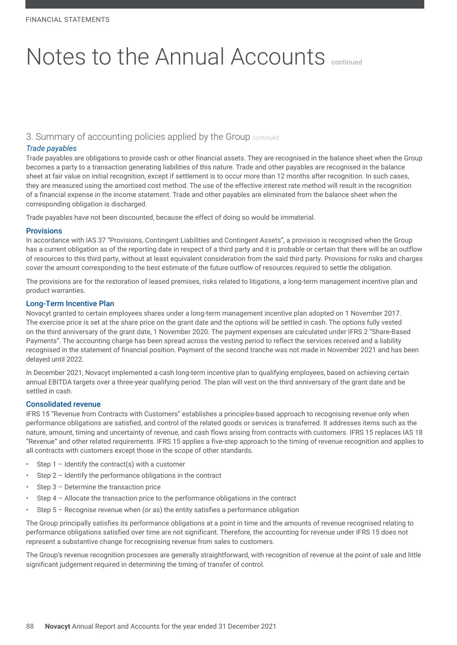# 3. Summary of accounting policies applied by the Group continued

#### *Trade payables*

Trade payables are obligations to provide cash or other financial assets. They are recognised in the balance sheet when the Group becomes a party to a transaction generating liabilities of this nature. Trade and other payables are recognised in the balance sheet at fair value on initial recognition, except if settlement is to occur more than 12 months after recognition. In such cases, they are measured using the amortised cost method. The use of the effective interest rate method will result in the recognition of a financial expense in the income statement. Trade and other payables are eliminated from the balance sheet when the corresponding obligation is discharged.

Trade payables have not been discounted, because the effect of doing so would be immaterial.

#### **Provisions**

In accordance with IAS 37 "Provisions, Contingent Liabilities and Contingent Assets", a provision is recognised when the Group has a current obligation as of the reporting date in respect of a third party and it is probable or certain that there will be an outflow of resources to this third party, without at least equivalent consideration from the said third party. Provisions for risks and charges cover the amount corresponding to the best estimate of the future outflow of resources required to settle the obligation.

The provisions are for the restoration of leased premises, risks related to litigations, a long-term management incentive plan and product warranties.

#### Long-Term Incentive Plan

Novacyt granted to certain employees shares under a long-term management incentive plan adopted on 1 November 2017. The exercise price is set at the share price on the grant date and the options will be settled in cash. The options fully vested on the third anniversary of the grant date, 1 November 2020. The payment expenses are calculated under IFRS 2 "Share-Based Payments". The accounting charge has been spread across the vesting period to reflect the services received and a liability recognised in the statement of financial position. Payment of the second tranche was not made in November 2021 and has been delayed until 2022.

In December 2021, Novacyt implemented a cash long-term incentive plan to qualifying employees, based on achieving certain annual EBITDA targets over a three-year qualifying period. The plan will vest on the third anniversary of the grant date and be settled in cash.

#### Consolidated revenue

IFRS 15 "Revenue from Contracts with Customers" establishes a principles-based approach to recognising revenue only when performance obligations are satisfied, and control of the related goods or services is transferred. It addresses items such as the nature, amount, timing and uncertainty of revenue, and cash flows arising from contracts with customers. IFRS 15 replaces IAS 18 "Revenue" and other related requirements. IFRS 15 applies a five-step approach to the timing of revenue recognition and applies to all contracts with customers except those in the scope of other standards.

- Step  $1$  Identify the contract(s) with a customer
- Step 2 Identify the performance obligations in the contract
- Step 3 Determine the transaction price
- Step 4 Allocate the transaction price to the performance obligations in the contract
- Step  $5$  Recognise revenue when (or as) the entity satisfies a performance obligation

The Group principally satisfies its performance obligations at a point in time and the amounts of revenue recognised relating to performance obligations satisfied over time are not significant. Therefore, the accounting for revenue under IFRS 15 does not represent a substantive change for recognising revenue from sales to customers.

The Group's revenue recognition processes are generally straightforward, with recognition of revenue at the point of sale and little significant judgement required in determining the timing of transfer of control.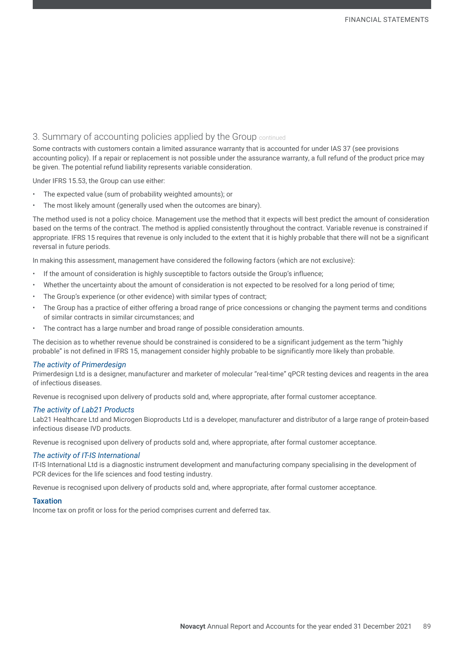# 3. Summary of accounting policies applied by the Group continued

Some contracts with customers contain a limited assurance warranty that is accounted for under IAS 37 (see provisions accounting policy). If a repair or replacement is not possible under the assurance warranty, a full refund of the product price may be given. The potential refund liability represents variable consideration.

Under IFRS 15.53, the Group can use either:

- The expected value (sum of probability weighted amounts); or
- The most likely amount (generally used when the outcomes are binary).

The method used is not a policy choice. Management use the method that it expects will best predict the amount of consideration based on the terms of the contract. The method is applied consistently throughout the contract. Variable revenue is constrained if appropriate. IFRS 15 requires that revenue is only included to the extent that it is highly probable that there will not be a significant reversal in future periods.

In making this assessment, management have considered the following factors (which are not exclusive):

- If the amount of consideration is highly susceptible to factors outside the Group's influence;
- Whether the uncertainty about the amount of consideration is not expected to be resolved for a long period of time;
- The Group's experience (or other evidence) with similar types of contract;
- The Group has a practice of either offering a broad range of price concessions or changing the payment terms and conditions of similar contracts in similar circumstances; and
- The contract has a large number and broad range of possible consideration amounts.

The decision as to whether revenue should be constrained is considered to be a significant judgement as the term "highly probable" is not defined in IFRS 15, management consider highly probable to be significantly more likely than probable.

#### *The activity of Primerdesign*

Primerdesign Ltd is a designer, manufacturer and marketer of molecular "real-time" qPCR testing devices and reagents in the area of infectious diseases.

Revenue is recognised upon delivery of products sold and, where appropriate, after formal customer acceptance.

#### *The activity of Lab21 Products*

Lab21 Healthcare Ltd and Microgen Bioproducts Ltd is a developer, manufacturer and distributor of a large range of protein-based infectious disease IVD products.

Revenue is recognised upon delivery of products sold and, where appropriate, after formal customer acceptance.

#### *The activity of IT-IS International*

IT-IS International Ltd is a diagnostic instrument development and manufacturing company specialising in the development of PCR devices for the life sciences and food testing industry.

Revenue is recognised upon delivery of products sold and, where appropriate, after formal customer acceptance.

#### **Taxation**

Income tax on profit or loss for the period comprises current and deferred tax.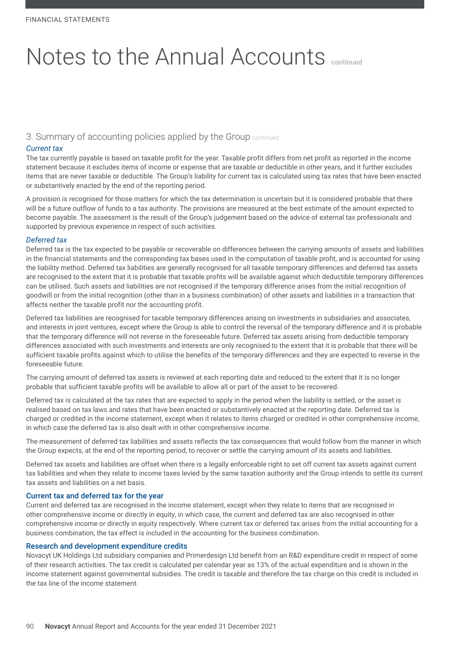# 3. Summary of accounting policies applied by the Group continued

#### *Current tax*

The tax currently payable is based on taxable profit for the year. Taxable profit differs from net profit as reported in the income statement because it excludes items of income or expense that are taxable or deductible in other years, and it further excludes items that are never taxable or deductible. The Group's liability for current tax is calculated using tax rates that have been enacted or substantively enacted by the end of the reporting period.

A provision is recognised for those matters for which the tax determination is uncertain but it is considered probable that there will be a future outflow of funds to a tax authority. The provisions are measured at the best estimate of the amount expected to become payable. The assessment is the result of the Group's judgement based on the advice of external tax professionals and supported by previous experience in respect of such activities.

#### *Deferred tax*

Deferred tax is the tax expected to be payable or recoverable on differences between the carrying amounts of assets and liabilities in the financial statements and the corresponding tax bases used in the computation of taxable profit, and is accounted for using the liability method. Deferred tax liabilities are generally recognised for all taxable temporary differences and deferred tax assets are recognised to the extent that it is probable that taxable profits will be available against which deductible temporary differences can be utilised. Such assets and liabilities are not recognised if the temporary difference arises from the initial recognition of goodwill or from the initial recognition (other than in a business combination) of other assets and liabilities in a transaction that affects neither the taxable profit nor the accounting profit.

Deferred tax liabilities are recognised for taxable temporary differences arising on investments in subsidiaries and associates, and interests in joint ventures, except where the Group is able to control the reversal of the temporary difference and it is probable that the temporary difference will not reverse in the foreseeable future. Deferred tax assets arising from deductible temporary differences associated with such investments and interests are only recognised to the extent that it is probable that there will be sufficient taxable profits against which to utilise the benefits of the temporary differences and they are expected to reverse in the foreseeable future.

The carrying amount of deferred tax assets is reviewed at each reporting date and reduced to the extent that it is no longer probable that sufficient taxable profits will be available to allow all or part of the asset to be recovered.

Deferred tax is calculated at the tax rates that are expected to apply in the period when the liability is settled, or the asset is realised based on tax laws and rates that have been enacted or substantively enacted at the reporting date. Deferred tax is charged or credited in the income statement, except when it relates to items charged or credited in other comprehensive income, in which case the deferred tax is also dealt with in other comprehensive income.

The measurement of deferred tax liabilities and assets reflects the tax consequences that would follow from the manner in which the Group expects, at the end of the reporting period, to recover or settle the carrying amount of its assets and liabilities.

Deferred tax assets and liabilities are offset when there is a legally enforceable right to set off current tax assets against current tax liabilities and when they relate to income taxes levied by the same taxation authority and the Group intends to settle its current tax assets and liabilities on a net basis.

#### Current tax and deferred tax for the year

Current and deferred tax are recognised in the income statement, except when they relate to items that are recognised in other comprehensive income or directly in equity, in which case, the current and deferred tax are also recognised in other comprehensive income or directly in equity respectively. Where current tax or deferred tax arises from the initial accounting for a business combination, the tax effect is included in the accounting for the business combination.

#### Research and development expenditure credits

Novacyt UK Holdings Ltd subsidiary companies and Primerdesign Ltd benefit from an R&D expenditure credit in respect of some of their research activities. The tax credit is calculated per calendar year as 13% of the actual expenditure and is shown in the income statement against governmental subsidies. The credit is taxable and therefore the tax charge on this credit is included in the tax line of the income statement.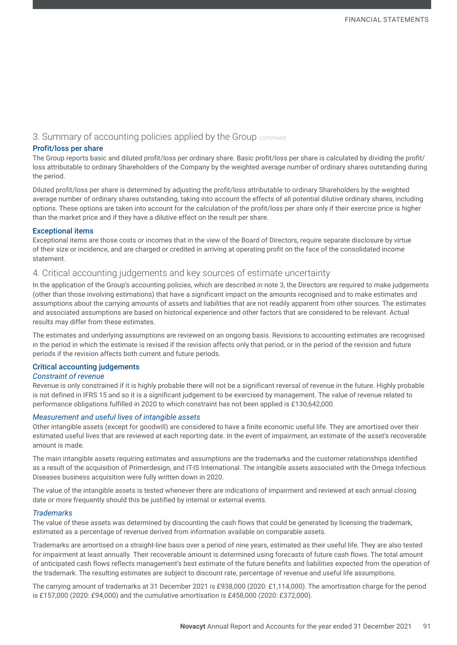# 3. Summary of accounting policies applied by the Group continued

#### Profit/loss per share

The Group reports basic and diluted profit/loss per ordinary share. Basic profit/loss per share is calculated by dividing the profit/ loss attributable to ordinary Shareholders of the Company by the weighted average number of ordinary shares outstanding during the period.

Diluted profit/loss per share is determined by adjusting the profit/loss attributable to ordinary Shareholders by the weighted average number of ordinary shares outstanding, taking into account the effects of all potential dilutive ordinary shares, including options. These options are taken into account for the calculation of the profit/loss per share only if their exercise price is higher than the market price and if they have a dilutive effect on the result per share.

#### Exceptional items

Exceptional items are those costs or incomes that in the view of the Board of Directors, require separate disclosure by virtue of their size or incidence, and are charged or credited in arriving at operating profit on the face of the consolidated income statement.

### 4. Critical accounting judgements and key sources of estimate uncertainty

In the application of the Group's accounting policies, which are described in note 3, the Directors are required to make judgements (other than those involving estimations) that have a significant impact on the amounts recognised and to make estimates and assumptions about the carrying amounts of assets and liabilities that are not readily apparent from other sources. The estimates and associated assumptions are based on historical experience and other factors that are considered to be relevant. Actual results may differ from these estimates.

The estimates and underlying assumptions are reviewed on an ongoing basis. Revisions to accounting estimates are recognised in the period in which the estimate is revised if the revision affects only that period, or in the period of the revision and future periods if the revision affects both current and future periods.

#### Critical accounting judgements

#### *Constraint of revenue*

Revenue is only constrained if it is highly probable there will not be a significant reversal of revenue in the future. Highly probable is not defined in IFRS 15 and so it is a significant judgement to be exercised by management. The value of revenue related to performance obligations fulfilled in 2020 to which constraint has not been applied is £130,642,000.

#### *Measurement and useful lives of intangible assets*

Other intangible assets (except for goodwill) are considered to have a finite economic useful life. They are amortised over their estimated useful lives that are reviewed at each reporting date. In the event of impairment, an estimate of the asset's recoverable amount is made.

The main intangible assets requiring estimates and assumptions are the trademarks and the customer relationships identified as a result of the acquisition of Primerdesign, and IT-IS International. The intangible assets associated with the Omega Infectious Diseases business acquisition were fully written down in 2020.

The value of the intangible assets is tested whenever there are indications of impairment and reviewed at each annual closing date or more frequently should this be justified by internal or external events.

#### *Trademarks*

The value of these assets was determined by discounting the cash flows that could be generated by licensing the trademark, estimated as a percentage of revenue derived from information available on comparable assets.

Trademarks are amortised on a straight-line basis over a period of nine years, estimated as their useful life. They are also tested for impairment at least annually. Their recoverable amount is determined using forecasts of future cash flows. The total amount of anticipated cash flows reflects management's best estimate of the future benefits and liabilities expected from the operation of the trademark. The resulting estimates are subject to discount rate, percentage of revenue and useful life assumptions.

The carrying amount of trademarks at 31 December 2021 is £938,000 (2020: £1,114,000). The amortisation charge for the period is £157,000 (2020: £94,000) and the cumulative amortisation is £458,000 (2020: £372,000).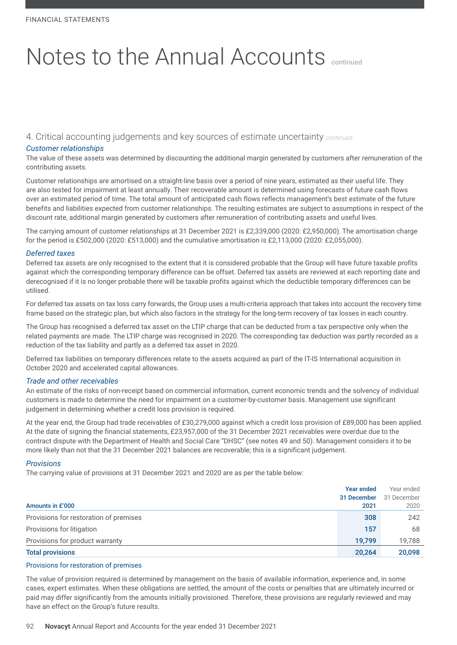4. Critical accounting judgements and key sources of estimate uncertainty continued

#### *Customer relationships*

The value of these assets was determined by discounting the additional margin generated by customers after remuneration of the contributing assets.

Customer relationships are amortised on a straight-line basis over a period of nine years, estimated as their useful life. They are also tested for impairment at least annually. Their recoverable amount is determined using forecasts of future cash flows over an estimated period of time. The total amount of anticipated cash flows reflects management's best estimate of the future benefits and liabilities expected from customer relationships. The resulting estimates are subject to assumptions in respect of the discount rate, additional margin generated by customers after remuneration of contributing assets and useful lives.

The carrying amount of customer relationships at 31 December 2021 is £2,339,000 (2020: £2,950,000). The amortisation charge for the period is £502,000 (2020: £513,000) and the cumulative amortisation is £2,113,000 (2020: £2,055,000).

#### *Deferred taxes*

Deferred tax assets are only recognised to the extent that it is considered probable that the Group will have future taxable profits against which the corresponding temporary difference can be offset. Deferred tax assets are reviewed at each reporting date and derecognised if it is no longer probable there will be taxable profits against which the deductible temporary differences can be utilised.

For deferred tax assets on tax loss carry forwards, the Group uses a multi-criteria approach that takes into account the recovery time frame based on the strategic plan, but which also factors in the strategy for the long-term recovery of tax losses in each country.

The Group has recognised a deferred tax asset on the LTIP charge that can be deducted from a tax perspective only when the related payments are made. The LTIP charge was recognised in 2020. The corresponding tax deduction was partly recorded as a reduction of the tax liability and partly as a deferred tax asset in 2020.

Deferred tax liabilities on temporary differences relate to the assets acquired as part of the IT-IS International acquisition in October 2020 and accelerated capital allowances.

#### *Trade and other receivables*

An estimate of the risks of non-receipt based on commercial information, current economic trends and the solvency of individual customers is made to determine the need for impairment on a customer-by-customer basis. Management use significant judgement in determining whether a credit loss provision is required.

At the year end, the Group had trade receivables of £30,279,000 against which a credit loss provision of £89,000 has been applied. At the date of signing the financial statements, £23,957,000 of the 31 December 2021 receivables were overdue due to the contract dispute with the Department of Health and Social Care "DHSC" (see notes 49 and 50). Management considers it to be more likely than not that the 31 December 2021 balances are recoverable; this is a significant judgement.

#### *Provisions*

The carrying value of provisions at 31 December 2021 and 2020 are as per the table below:

|                                        | Year ended  | Year ended  |
|----------------------------------------|-------------|-------------|
|                                        | 31 December | 31 December |
| Amounts in £'000                       | 2021        | 2020        |
| Provisions for restoration of premises | 308         | 242         |
| Provisions for litigation              | 157         | 68          |
| Provisions for product warranty        | 19.799      | 19,788      |
| <b>Total provisions</b>                | 20,264      | 20,098      |

#### Provisions for restoration of premises

The value of provision required is determined by management on the basis of available information, experience and, in some cases, expert estimates. When these obligations are settled, the amount of the costs or penalties that are ultimately incurred or paid may differ significantly from the amounts initially provisioned. Therefore, these provisions are regularly reviewed and may have an effect on the Group's future results.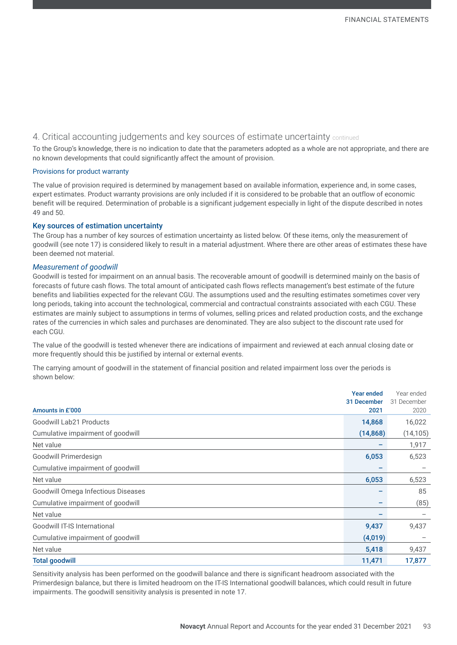# 4. Critical accounting judgements and key sources of estimate uncertainty continued

To the Group's knowledge, there is no indication to date that the parameters adopted as a whole are not appropriate, and there are no known developments that could significantly affect the amount of provision.

#### Provisions for product warranty

The value of provision required is determined by management based on available information, experience and, in some cases, expert estimates. Product warranty provisions are only included if it is considered to be probable that an outflow of economic benefit will be required. Determination of probable is a significant judgement especially in light of the dispute described in notes 49 and 50.

#### Key sources of estimation uncertainty

The Group has a number of key sources of estimation uncertainty as listed below. Of these items, only the measurement of goodwill (see note 17) is considered likely to result in a material adjustment. Where there are other areas of estimates these have been deemed not material.

#### *Measurement of goodwill*

Goodwill is tested for impairment on an annual basis. The recoverable amount of goodwill is determined mainly on the basis of forecasts of future cash flows. The total amount of anticipated cash flows reflects management's best estimate of the future benefits and liabilities expected for the relevant CGU. The assumptions used and the resulting estimates sometimes cover very long periods, taking into account the technological, commercial and contractual constraints associated with each CGU. These estimates are mainly subject to assumptions in terms of volumes, selling prices and related production costs, and the exchange rates of the currencies in which sales and purchases are denominated. They are also subject to the discount rate used for each CGU.

The value of the goodwill is tested whenever there are indications of impairment and reviewed at each annual closing date or more frequently should this be justified by internal or external events.

The carrying amount of goodwill in the statement of financial position and related impairment loss over the periods is shown below:

|                                    | <b>Year ended</b> | Year ended  |
|------------------------------------|-------------------|-------------|
|                                    | 31 December       | 31 December |
| Amounts in £'000                   | 2021              | 2020        |
| <b>Goodwill Lab21 Products</b>     | 14,868            | 16,022      |
| Cumulative impairment of goodwill  | (14, 868)         | (14, 105)   |
| Net value                          |                   | 1,917       |
| Goodwill Primerdesign              | 6,053             | 6,523       |
| Cumulative impairment of goodwill  |                   |             |
| Net value                          | 6,053             | 6,523       |
| Goodwill Omega Infectious Diseases |                   | 85          |
| Cumulative impairment of goodwill  | -                 | (85)        |
| Net value                          |                   |             |
| Goodwill IT-IS International       | 9,437             | 9,437       |
| Cumulative impairment of goodwill  | (4,019)           |             |
| Net value                          | 5,418             | 9,437       |
| <b>Total goodwill</b>              | 11,471            | 17,877      |

Sensitivity analysis has been performed on the goodwill balance and there is significant headroom associated with the Primerdesign balance, but there is limited headroom on the IT-IS International goodwill balances, which could result in future impairments. The goodwill sensitivity analysis is presented in note 17.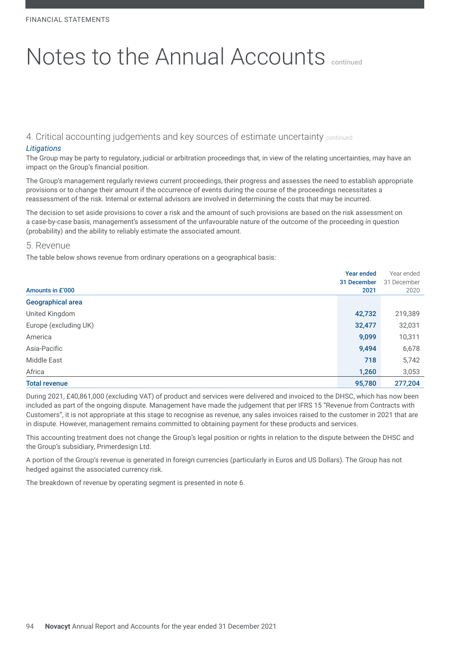4. Critical accounting judgements and key sources of estimate uncertainty continued

### *Litigations*

The Group may be party to regulatory, judicial or arbitration proceedings that, in view of the relating uncertainties, may have an impact on the Group's financial position.

The Group's management regularly reviews current proceedings, their progress and assesses the need to establish appropriate provisions or to change their amount if the occurrence of events during the course of the proceedings necessitates a reassessment of the risk. Internal or external advisors are involved in determining the costs that may be incurred.

The decision to set aside provisions to cover a risk and the amount of such provisions are based on the risk assessment on a case-by-case basis, management's assessment of the unfavourable nature of the outcome of the proceeding in question (probability) and the ability to reliably estimate the associated amount.

#### 5. Revenue

The table below shows revenue from ordinary operations on a geographical basis:

|                       | <b>Year ended</b> | Year ended  |
|-----------------------|-------------------|-------------|
|                       | 31 December       | 31 December |
| Amounts in £'000      | 2021              | 2020        |
| Geographical area     |                   |             |
| United Kingdom        | 42,732            | 219,389     |
| Europe (excluding UK) | 32,477            | 32,031      |
| America               | 9,099             | 10,311      |
| Asia-Pacific          | 9,494             | 6,678       |
| <b>Middle East</b>    | 718               | 5,742       |
| Africa                | 1,260             | 3,053       |
| <b>Total revenue</b>  | 95,780            | 277,204     |

During 2021, £40,861,000 (excluding VAT) of product and services were delivered and invoiced to the DHSC, which has now been included as part of the ongoing dispute. Management have made the judgement that per IFRS 15 "Revenue from Contracts with Customers", it is not appropriate at this stage to recognise as revenue, any sales invoices raised to the customer in 2021 that are in dispute. However, management remains committed to obtaining payment for these products and services.

This accounting treatment does not change the Group's legal position or rights in relation to the dispute between the DHSC and the Group's subsidiary, Primerdesign Ltd.

A portion of the Group's revenue is generated in foreign currencies (particularly in Euros and US Dollars). The Group has not hedged against the associated currency risk.

The breakdown of revenue by operating segment is presented in note 6.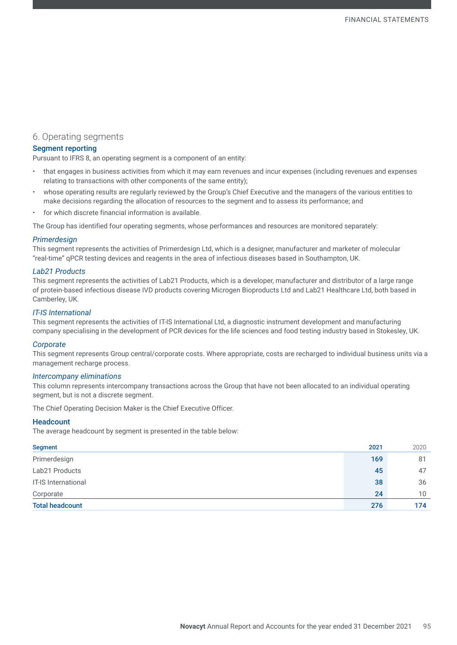### 6. Operating segments

#### Segment reporting

Pursuant to IFRS 8, an operating segment is a component of an entity:

- that engages in business activities from which it may earn revenues and incur expenses (including revenues and expenses relating to transactions with other components of the same entity);
- whose operating results are regularly reviewed by the Group's Chief Executive and the managers of the various entities to make decisions regarding the allocation of resources to the segment and to assess its performance; and
- for which discrete financial information is available.

The Group has identified four operating segments, whose performances and resources are monitored separately:

#### *Primerdesign*

This segment represents the activities of Primerdesign Ltd, which is a designer, manufacturer and marketer of molecular "real-time" qPCR testing devices and reagents in the area of infectious diseases based in Southampton, UK.

#### *Lab21 Products*

This segment represents the activities of Lab21 Products, which is a developer, manufacturer and distributor of a large range of protein-based infectious disease IVD products covering Microgen Bioproducts Ltd and Lab21 Healthcare Ltd, both based in Camberley, UK.

#### *IT-IS International*

This segment represents the activities of IT-IS International Ltd, a diagnostic instrument development and manufacturing company specialising in the development of PCR devices for the life sciences and food testing industry based in Stokesley, UK.

#### *Corporate*

This segment represents Group central/corporate costs. Where appropriate, costs are recharged to individual business units via a management recharge process.

#### *Intercompany eliminations*

This column represents intercompany transactions across the Group that have not been allocated to an individual operating segment, but is not a discrete segment.

The Chief Operating Decision Maker is the Chief Executive Officer.

#### **Headcount**

The average headcount by segment is presented in the table below:

| <b>Segment</b>         | 2021 | 2020            |
|------------------------|------|-----------------|
| Primerdesign           | 169  | 81              |
| Lab21 Products         | 45   | 47              |
| IT-IS International    | 38   | 36              |
| Corporate              | 24   | 10 <sup>°</sup> |
| <b>Total headcount</b> | 276  | 174             |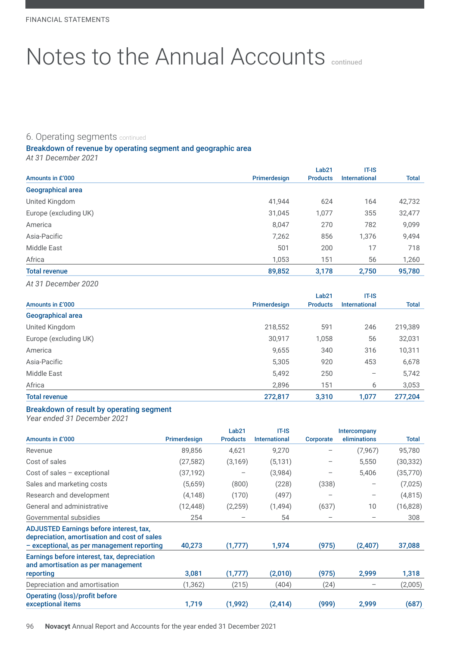### 6. Operating segments continued

# Breakdown of revenue by operating segment and geographic area

*At 31 December 2021*

|                       |              | Lab <sub>21</sub> | $IT-IS$              |              |
|-----------------------|--------------|-------------------|----------------------|--------------|
| Amounts in £'000      | Primerdesign | <b>Products</b>   | <b>International</b> | <b>Total</b> |
| Geographical area     |              |                   |                      |              |
| United Kingdom        | 41,944       | 624               | 164                  | 42,732       |
| Europe (excluding UK) | 31,045       | 1,077             | 355                  | 32,477       |
| America               | 8,047        | 270               | 782                  | 9,099        |
| Asia-Pacific          | 7,262        | 856               | 1,376                | 9,494        |
| Middle East           | 501          | 200               | 17                   | 718          |
| Africa                | 1,053        | 151               | 56                   | 1,260        |
| <b>Total revenue</b>  | 89,852       | 3,178             | 2,750                | 95,780       |

*At 31 December 2020*

|                          |              | Lab <sub>21</sub> | $IT-IS$              |              |
|--------------------------|--------------|-------------------|----------------------|--------------|
| Amounts in £'000         | Primerdesign | <b>Products</b>   | <b>International</b> | <b>Total</b> |
| <b>Geographical area</b> |              |                   |                      |              |
| United Kingdom           | 218,552      | 591               | 246                  | 219,389      |
| Europe (excluding UK)    | 30,917       | 1,058             | 56                   | 32,031       |
| America                  | 9,655        | 340               | 316                  | 10,311       |
| Asia-Pacific             | 5,305        | 920               | 453                  | 6,678        |
| <b>Middle East</b>       | 5,492        | 250               |                      | 5,742        |
| Africa                   | 2,896        | 151               | 6                    | 3,053        |
| <b>Total revenue</b>     | 272,817      | 3,310             | 1,077                | 277,204      |

### Breakdown of result by operating segment

*Year ended 31 December 2021*

| Amounts in £'000                                                                                                                             |              | Lab <sub>21</sub>               | <b>IT-IS</b><br><b>International</b> |                 | Intercompany<br>eliminations |              |
|----------------------------------------------------------------------------------------------------------------------------------------------|--------------|---------------------------------|--------------------------------------|-----------------|------------------------------|--------------|
|                                                                                                                                              | Primerdesign | <b>Products</b>                 |                                      | Corporate       |                              | <b>Total</b> |
| Revenue                                                                                                                                      | 89,856       | 4,621                           | 9,270                                |                 | (7, 967)                     | 95,780       |
| Cost of sales                                                                                                                                | (27, 582)    | (3, 169)                        | (5, 131)                             |                 | 5,550                        | (30, 332)    |
| Cost of sales $-$ exceptional                                                                                                                | (37, 192)    |                                 | (3,984)                              |                 | 5,406                        | (35,770)     |
| Sales and marketing costs                                                                                                                    | (5,659)      | (800)                           | (228)                                | (338)           |                              | (7,025)      |
| Research and development                                                                                                                     | (4,148)      | (170)                           | (497)                                | -               | $\qquad \qquad -$            | (4, 815)     |
| General and administrative                                                                                                                   | (12, 448)    | (2, 259)                        | (1,494)                              | (637)           | 10                           | (16, 828)    |
| Governmental subsidies                                                                                                                       | 254          | $\hspace{0.1mm}-\hspace{0.1mm}$ | 54                                   | $\qquad \qquad$ | $\overline{\phantom{m}}$     | 308          |
| <b>ADJUSTED Earnings before interest, tax,</b><br>depreciation, amortisation and cost of sales<br>- exceptional, as per management reporting | 40,273       | (1,777)                         | 1,974                                | (975)           | (2, 407)                     | 37,088       |
| Earnings before interest, tax, depreciation<br>and amortisation as per management                                                            |              |                                 |                                      |                 |                              |              |
| reporting                                                                                                                                    | 3,081        | (1,777)                         | (2,010)                              | (975)           | 2,999                        | 1,318        |
| Depreciation and amortisation                                                                                                                | (1,362)      | (215)                           | (404)                                | (24)            |                              | (2,005)      |
| <b>Operating (loss)/profit before</b><br>exceptional items                                                                                   | 1,719        | (1,992)                         | (2, 414)                             | (999)           | 2,999                        | (687)        |

96 **Novacyt** Annual Report and Accounts for the year ended 31 December 2021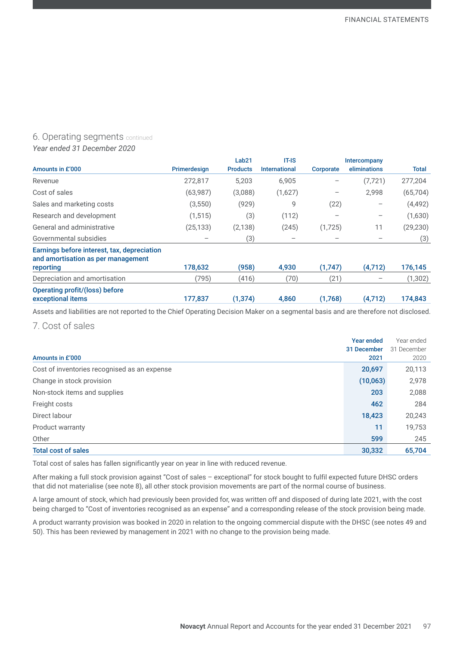### 6. Operating segments continued

*Year ended 31 December 2020*

|                                                                                   |                          | Lab <sub>21</sub><br><b>IT-IS</b> |                      |           | Intercompany                    |           |
|-----------------------------------------------------------------------------------|--------------------------|-----------------------------------|----------------------|-----------|---------------------------------|-----------|
| Amounts in £'000                                                                  | Primerdesign             | <b>Products</b>                   | <b>International</b> | Corporate | eliminations                    | Total     |
| Revenue                                                                           | 272,817                  | 5,203                             | 6,905                |           | (7, 721)                        | 277,204   |
| Cost of sales                                                                     | (63,987)                 | (3,088)                           | (1,627)              |           | 2,998                           | (65, 704) |
| Sales and marketing costs                                                         | (3, 550)                 | (929)                             | 9                    | (22)      | $\qquad \qquad -$               | (4, 492)  |
| Research and development                                                          | (1, 515)                 | (3)                               | (112)                |           | $\hspace{0.1mm}-\hspace{0.1mm}$ | (1,630)   |
| General and administrative                                                        | (25, 133)                | (2, 138)                          | (245)                | (1,725)   | 11                              | (29, 230) |
| Governmental subsidies                                                            | $\overline{\phantom{m}}$ | (3)                               |                      |           |                                 | (3)       |
| Earnings before interest, tax, depreciation<br>and amortisation as per management |                          |                                   |                      |           |                                 |           |
| reporting                                                                         | 178,632                  | (958)                             | 4,930                | (1,747)   | (4,712)                         | 176,145   |
| Depreciation and amortisation                                                     | (795)                    | (416)                             | (70)                 | (21)      |                                 | (1, 302)  |
| <b>Operating profit/(loss) before</b><br>exceptional items                        | 177,837                  | (1, 374)                          | 4,860                | (1,768)   | (4,712)                         | 174,843   |

Assets and liabilities are not reported to the Chief Operating Decision Maker on a segmental basis and are therefore not disclosed.

7. Cost of sales

|                                              | <b>Year ended</b><br>31 December | Year ended<br>31 December |
|----------------------------------------------|----------------------------------|---------------------------|
| Amounts in £'000                             | 2021                             | 2020                      |
| Cost of inventories recognised as an expense | 20,697                           | 20,113                    |
| Change in stock provision                    | (10,063)                         | 2,978                     |
| Non-stock items and supplies                 | 203                              | 2,088                     |
| Freight costs                                | 462                              | 284                       |
| Direct labour                                | 18,423                           | 20,243                    |
| Product warranty                             | 11                               | 19,753                    |
| Other                                        | 599                              | 245                       |
| <b>Total cost of sales</b>                   | 30,332                           | 65,704                    |

Total cost of sales has fallen significantly year on year in line with reduced revenue.

After making a full stock provision against "Cost of sales – exceptional" for stock bought to fulfil expected future DHSC orders that did not materialise (see note 8), all other stock provision movements are part of the normal course of business.

A large amount of stock, which had previously been provided for, was written off and disposed of during late 2021, with the cost being charged to "Cost of inventories recognised as an expense" and a corresponding release of the stock provision being made.

A product warranty provision was booked in 2020 in relation to the ongoing commercial dispute with the DHSC (see notes 49 and 50). This has been reviewed by management in 2021 with no change to the provision being made.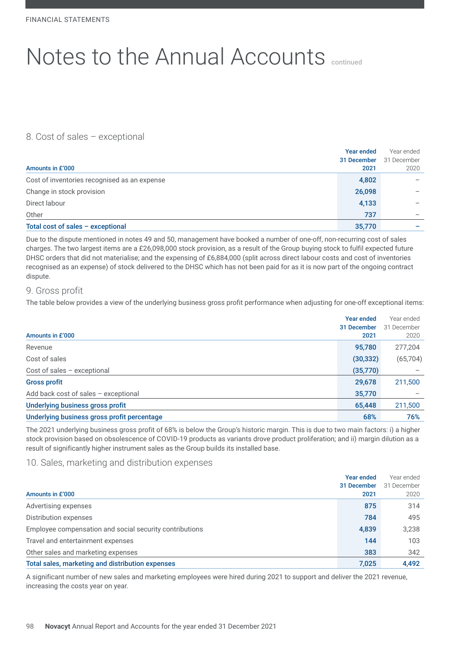# 8. Cost of sales – exceptional

|                                              | <b>Year ended</b> | Year ended  |
|----------------------------------------------|-------------------|-------------|
|                                              | 31 December       | 31 December |
| Amounts in £'000                             | 2021              | 2020        |
| Cost of inventories recognised as an expense | 4,802             |             |
| Change in stock provision                    | 26,098            |             |
| Direct labour                                | 4,133             |             |
| Other                                        | 737               |             |
| Total cost of sales - exceptional            | 35,770            |             |

Due to the dispute mentioned in notes 49 and 50, management have booked a number of one-off, non-recurring cost of sales charges. The two largest items are a £26,098,000 stock provision, as a result of the Group buying stock to fulfil expected future DHSC orders that did not materialise; and the expensing of £6,884,000 (split across direct labour costs and cost of inventories recognised as an expense) of stock delivered to the DHSC which has not been paid for as it is now part of the ongoing contract dispute.

### 9. Gross profit

The table below provides a view of the underlying business gross profit performance when adjusting for one-off exceptional items:

| Amounts in £'000                            | Year ended<br>31 December<br>2021 | Year ended<br>31 December<br>2020 |
|---------------------------------------------|-----------------------------------|-----------------------------------|
| Revenue                                     | 95,780                            | 277,204                           |
| Cost of sales                               | (30, 332)                         | (65, 704)                         |
| Cost of sales $-$ exceptional               | (35,770)                          |                                   |
| <b>Gross profit</b>                         | 29,678                            | 211,500                           |
| Add back cost of sales - exceptional        | 35,770                            |                                   |
| Underlying business gross profit            | 65,448                            | 211,500                           |
| Underlying business gross profit percentage | 68%                               | 76%                               |

The 2021 underlying business gross profit of 68% is below the Group's historic margin. This is due to two main factors: i) a higher stock provision based on obsolescence of COVID-19 products as variants drove product proliferation; and ii) margin dilution as a result of significantly higher instrument sales as the Group builds its installed base.

# 10. Sales, marketing and distribution expenses

|                                                         | <b>Year ended</b> | Year ended  |
|---------------------------------------------------------|-------------------|-------------|
|                                                         | 31 December       | 31 December |
| Amounts in £'000                                        | 2021              | 2020        |
| Advertising expenses                                    | 875               | 314         |
| Distribution expenses                                   | 784               | 495         |
| Employee compensation and social security contributions | 4,839             | 3,238       |
| Travel and entertainment expenses                       | 144               | 103         |
| Other sales and marketing expenses                      | 383               | 342         |
| Total sales, marketing and distribution expenses        | 7,025             | 4,492       |

A significant number of new sales and marketing employees were hired during 2021 to support and deliver the 2021 revenue, increasing the costs year on year.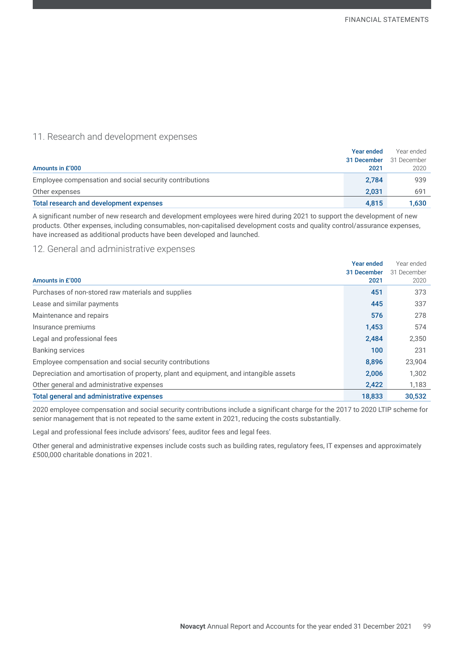# 11. Research and development expenses

|                                                         | <b>Year ended</b> | Year ended  |
|---------------------------------------------------------|-------------------|-------------|
|                                                         | 31 December       | 31 December |
| Amounts in £'000                                        | 2021              | 2020        |
| Employee compensation and social security contributions | 2,784             | 939         |
| Other expenses                                          | 2.031             | 691         |
| Total research and development expenses                 | 4.815             | 1,630       |

A significant number of new research and development employees were hired during 2021 to support the development of new products. Other expenses, including consumables, non-capitalised development costs and quality control/assurance expenses, have increased as additional products have been developed and launched.

### 12. General and administrative expenses

|                                                                                       | Year ended  | Year ended  |
|---------------------------------------------------------------------------------------|-------------|-------------|
|                                                                                       | 31 December | 31 December |
| Amounts in £'000                                                                      | 2021        | 2020        |
| Purchases of non-stored raw materials and supplies                                    | 451         | 373         |
| Lease and similar payments                                                            | 445         | 337         |
| Maintenance and repairs                                                               | 576         | 278         |
| Insurance premiums                                                                    | 1,453       | 574         |
| Legal and professional fees                                                           | 2,484       | 2,350       |
| <b>Banking services</b>                                                               | 100         | 231         |
| Employee compensation and social security contributions                               | 8.896       | 23,904      |
| Depreciation and amortisation of property, plant and equipment, and intangible assets | 2,006       | 1,302       |
| Other general and administrative expenses                                             | 2,422       | 1,183       |
| Total general and administrative expenses                                             | 18,833      | 30,532      |

2020 employee compensation and social security contributions include a significant charge for the 2017 to 2020 LTIP scheme for senior management that is not repeated to the same extent in 2021, reducing the costs substantially.

Legal and professional fees include advisors' fees, auditor fees and legal fees.

Other general and administrative expenses include costs such as building rates, regulatory fees, IT expenses and approximately £500,000 charitable donations in 2021.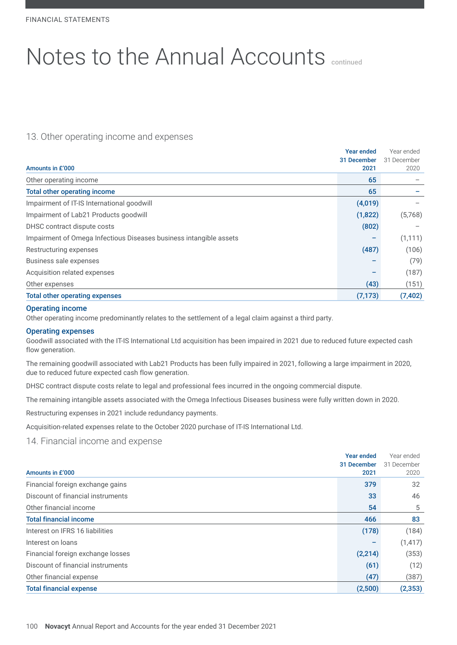# 13. Other operating income and expenses

|                                                                    | Year ended  | Year ended  |
|--------------------------------------------------------------------|-------------|-------------|
|                                                                    | 31 December | 31 December |
| Amounts in £'000                                                   | 2021        | 2020        |
| Other operating income                                             | 65          |             |
| <b>Total other operating income</b>                                | 65          |             |
| Impairment of IT-IS International goodwill                         | (4,019)     |             |
| Impairment of Lab21 Products goodwill                              | (1,822)     | (5,768)     |
| DHSC contract dispute costs                                        | (802)       |             |
| Impairment of Omega Infectious Diseases business intangible assets |             | (1, 111)    |
| Restructuring expenses                                             | (487)       | (106)       |
| Business sale expenses                                             |             | (79)        |
| Acquisition related expenses                                       |             | (187)       |
| Other expenses                                                     | (43)        | (151)       |
| <b>Total other operating expenses</b>                              | (7, 173)    | (7, 402)    |

#### Operating income

Other operating income predominantly relates to the settlement of a legal claim against a third party.

#### Operating expenses

Goodwill associated with the IT-IS International Ltd acquisition has been impaired in 2021 due to reduced future expected cash flow generation.

The remaining goodwill associated with Lab21 Products has been fully impaired in 2021, following a large impairment in 2020, due to reduced future expected cash flow generation.

DHSC contract dispute costs relate to legal and professional fees incurred in the ongoing commercial dispute.

The remaining intangible assets associated with the Omega Infectious Diseases business were fully written down in 2020.

Restructuring expenses in 2021 include redundancy payments.

Acquisition-related expenses relate to the October 2020 purchase of IT-IS International Ltd.

14. Financial income and expense

|                                   | <b>Year ended</b> | Year ended  |
|-----------------------------------|-------------------|-------------|
|                                   | 31 December       | 31 December |
| Amounts in £'000                  | 2021              | 2020        |
| Financial foreign exchange gains  | 379               | 32          |
| Discount of financial instruments | 33                | 46          |
| Other financial income            | 54                | 5           |
| <b>Total financial income</b>     | 466               | 83          |
| Interest on IFRS 16 liabilities   | (178)             | (184)       |
| Interest on loans                 |                   | (1, 417)    |
| Financial foreign exchange losses | (2,214)           | (353)       |
| Discount of financial instruments | (61)              | (12)        |
| Other financial expense           | (47)              | (387)       |
| <b>Total financial expense</b>    | (2,500)           | (2, 353)    |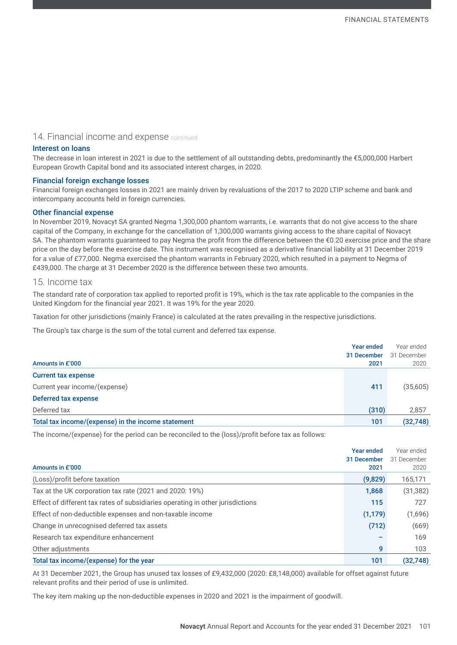#### 14. Financial income and expense continued

#### Interest on loans

The decrease in loan interest in 2021 is due to the settlement of all outstanding debts, predominantly the €5,000,000 Harbert European Growth Capital bond and its associated interest charges, in 2020.

#### Financial foreign exchange losses

Financial foreign exchanges losses in 2021 are mainly driven by revaluations of the 2017 to 2020 LTIP scheme and bank and intercompany accounts held in foreign currencies.

#### Other financial expense

In November 2019, Novacyt SA granted Negma 1,300,000 phantom warrants, i.e. warrants that do not give access to the share capital of the Company, in exchange for the cancellation of 1,300,000 warrants giving access to the share capital of Novacyt SA. The phantom warrants guaranteed to pay Negma the profit from the difference between the €0.20 exercise price and the share price on the day before the exercise date. This instrument was recognised as a derivative financial liability at 31 December 2019 for a value of £77,000. Negma exercised the phantom warrants in February 2020, which resulted in a payment to Negma of £439,000. The charge at 31 December 2020 is the difference between these two amounts.

### 15. Income tax

The standard rate of corporation tax applied to reported profit is 19%, which is the tax rate applicable to the companies in the United Kingdom for the financial year 2021. It was 19% for the year 2020.

Taxation for other jurisdictions (mainly France) is calculated at the rates prevailing in the respective jurisdictions.

The Group's tax charge is the sum of the total current and deferred tax expense.

|                                                    | <b>Year ended</b> | Year ended  |
|----------------------------------------------------|-------------------|-------------|
|                                                    | 31 December       | 31 December |
| Amounts in £'000                                   | 2021              | 2020        |
| <b>Current tax expense</b>                         |                   |             |
| Current year income/(expense)                      | 411               | (35,605)    |
| <b>Deferred tax expense</b>                        |                   |             |
| Deferred tax                                       | (310)             | 2,857       |
| Total tax income/(expense) in the income statement | 101               | (32, 748)   |

The income/(expense) for the period can be reconciled to the (loss)/profit before tax as follows:

|                                                                                | <b>Year ended</b> | Year ended  |
|--------------------------------------------------------------------------------|-------------------|-------------|
|                                                                                | 31 December       | 31 December |
| Amounts in £'000                                                               | 2021              | 2020        |
| (Loss)/profit before taxation                                                  | (9,829)           | 165,171     |
| Tax at the UK corporation tax rate (2021 and 2020: 19%)                        | 1,868             | (31, 382)   |
| Effect of different tax rates of subsidiaries operating in other jurisdictions | 115               | 727         |
| Effect of non-deductible expenses and non-taxable income                       | (1, 179)          | (1,696)     |
| Change in unrecognised deferred tax assets                                     | (712)             | (669)       |
| Research tax expenditure enhancement                                           |                   | 169         |
| Other adjustments                                                              | 9                 | 103         |
| Total tax income/(expense) for the year                                        | 101               | (32, 748)   |

At 31 December 2021, the Group has unused tax losses of £9,432,000 (2020: £8,148,000) available for offset against future relevant profits and their period of use is unlimited.

The key item making up the non-deductible expenses in 2020 and 2021 is the impairment of goodwill.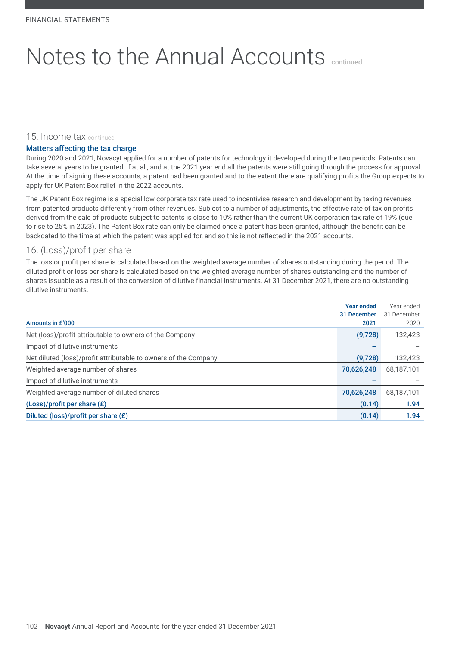#### 15. Income tax continued

#### Matters affecting the tax charge

During 2020 and 2021, Novacyt applied for a number of patents for technology it developed during the two periods. Patents can take several years to be granted, if at all, and at the 2021 year end all the patents were still going through the process for approval. At the time of signing these accounts, a patent had been granted and to the extent there are qualifying profits the Group expects to apply for UK Patent Box relief in the 2022 accounts.

The UK Patent Box regime is a special low corporate tax rate used to incentivise research and development by taxing revenues from patented products differently from other revenues. Subject to a number of adjustments, the effective rate of tax on profits derived from the sale of products subject to patents is close to 10% rather than the current UK corporation tax rate of 19% (due to rise to 25% in 2023). The Patent Box rate can only be claimed once a patent has been granted, although the benefit can be backdated to the time at which the patent was applied for, and so this is not reflected in the 2021 accounts.

# 16. (Loss)/profit per share

The loss or profit per share is calculated based on the weighted average number of shares outstanding during the period. The diluted profit or loss per share is calculated based on the weighted average number of shares outstanding and the number of shares issuable as a result of the conversion of dilutive financial instruments. At 31 December 2021, there are no outstanding dilutive instruments.

|                                                                 | <b>Year ended</b>   | Year ended          |
|-----------------------------------------------------------------|---------------------|---------------------|
| Amounts in £'000                                                | 31 December<br>2021 | 31 December<br>2020 |
|                                                                 |                     |                     |
| Net (loss)/profit attributable to owners of the Company         | (9,728)             | 132,423             |
| Impact of dilutive instruments                                  |                     |                     |
| Net diluted (loss)/profit attributable to owners of the Company | (9,728)             | 132,423             |
| Weighted average number of shares                               | 70,626,248          | 68.187.101          |
| Impact of dilutive instruments                                  |                     |                     |
| Weighted average number of diluted shares                       | 70,626,248          | 68,187,101          |
| (Loss)/profit per share (£)                                     | (0.14)              | 1.94                |
| Diluted (loss)/profit per share (£)                             | (0.14)              | 1.94                |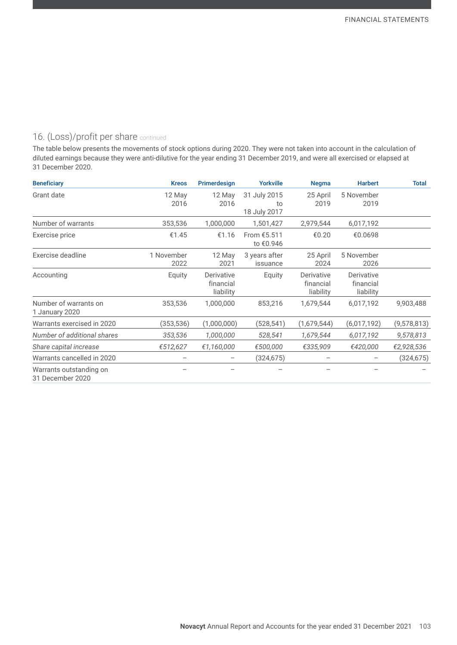# 16. (Loss)/profit per share continued

The table below presents the movements of stock options during 2020. They were not taken into account in the calculation of diluted earnings because they were anti-dilutive for the year ending 31 December 2019, and were all exercised or elapsed at 31 December 2020.

| <b>Beneficiary</b>                          | <b>Kreos</b>       | Primerdesign                         | <b>Yorkville</b>                   | <b>Negma</b>                         | <b>Harbert</b>                       | <b>Total</b> |
|---------------------------------------------|--------------------|--------------------------------------|------------------------------------|--------------------------------------|--------------------------------------|--------------|
| Grant date                                  | 12 May<br>2016     | 12 May<br>2016                       | 31 July 2015<br>to<br>18 July 2017 | 25 April<br>2019                     | 5 November<br>2019                   |              |
| Number of warrants                          | 353,536            | 1,000,000                            | 1,501,427                          | 2,979,544                            | 6,017,192                            |              |
| Exercise price                              | €1.45              | €1.16                                | From €5.511<br>to €0.946           | €0.20                                | €0.0698                              |              |
| Exercise deadline                           | 1 November<br>2022 | 12 May<br>2021                       | 3 years after<br>issuance          | 25 April<br>2024                     | 5 November<br>2026                   |              |
| Accounting                                  | Equity             | Derivative<br>financial<br>liability | Equity                             | Derivative<br>financial<br>liability | Derivative<br>financial<br>liability |              |
| Number of warrants on<br>1 January 2020     | 353,536            | 1,000,000                            | 853,216                            | 1,679,544                            | 6,017,192                            | 9,903,488    |
| Warrants exercised in 2020                  | (353,536)          | (1,000,000)                          | (528,541)                          | (1,679,544)                          | (6,017,192)                          | (9,578,813)  |
| Number of additional shares                 | 353,536            | 1,000,000                            | 528,541                            | 1,679,544                            | 6,017,192                            | 9,578,813    |
| Share capital increase                      | €512,627           | €1,160,000                           | €500,000                           | €335,909                             | €420,000                             | €2,928,536   |
| Warrants cancelled in 2020                  |                    |                                      | (324, 675)                         |                                      |                                      | (324, 675)   |
| Warrants outstanding on<br>31 December 2020 |                    |                                      |                                    |                                      |                                      |              |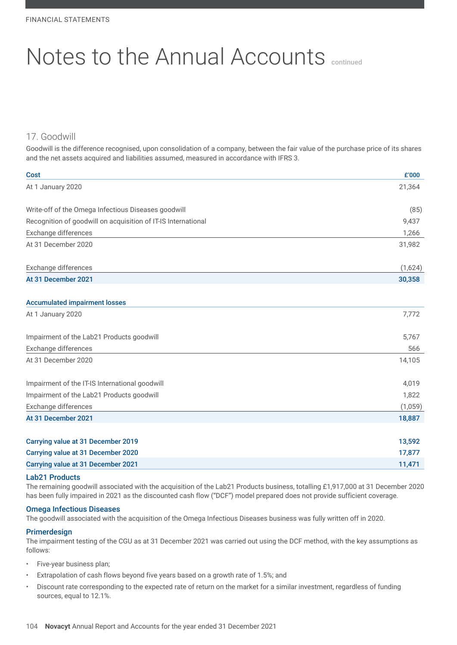# 17. Goodwill

Goodwill is the difference recognised, upon consolidation of a company, between the fair value of the purchase price of its shares and the net assets acquired and liabilities assumed, measured in accordance with IFRS 3.

| <b>Cost</b>                                                   | £'000   |
|---------------------------------------------------------------|---------|
| At 1 January 2020                                             | 21,364  |
| Write-off of the Omega Infectious Diseases goodwill           | (85)    |
| Recognition of goodwill on acquisition of IT-IS International | 9,437   |
| Exchange differences                                          | 1,266   |
| At 31 December 2020                                           | 31,982  |
| Exchange differences                                          | (1,624) |
| At 31 December 2021                                           | 30,358  |
| <b>Accumulated impairment losses</b>                          |         |
|                                                               |         |
| At 1 January 2020                                             | 7,772   |
| Impairment of the Lab21 Products goodwill                     | 5,767   |
| Exchange differences                                          | 566     |
| At 31 December 2020                                           | 14,105  |
| Impairment of the IT-IS International goodwill                | 4.019   |
| Impairment of the Lab21 Products goodwill                     | 1,822   |
| Exchange differences                                          | (1,059) |
| At 31 December 2021                                           | 18,887  |
|                                                               |         |
| Carrying value at 31 December 2019                            | 13,592  |
| Carrying value at 31 December 2020                            | 17,877  |
| <b>Carrying value at 31 December 2021</b>                     | 11,471  |

#### Lab21 Products

The remaining goodwill associated with the acquisition of the Lab21 Products business, totalling £1,917,000 at 31 December 2020 has been fully impaired in 2021 as the discounted cash flow ("DCF") model prepared does not provide sufficient coverage.

#### Omega Infectious Diseases

The goodwill associated with the acquisition of the Omega Infectious Diseases business was fully written off in 2020.

#### Primerdesign

The impairment testing of the CGU as at 31 December 2021 was carried out using the DCF method, with the key assumptions as follows:

- Five-year business plan;
- Extrapolation of cash flows beyond five years based on a growth rate of 1.5%; and
- Discount rate corresponding to the expected rate of return on the market for a similar investment, regardless of funding sources, equal to 12.1%.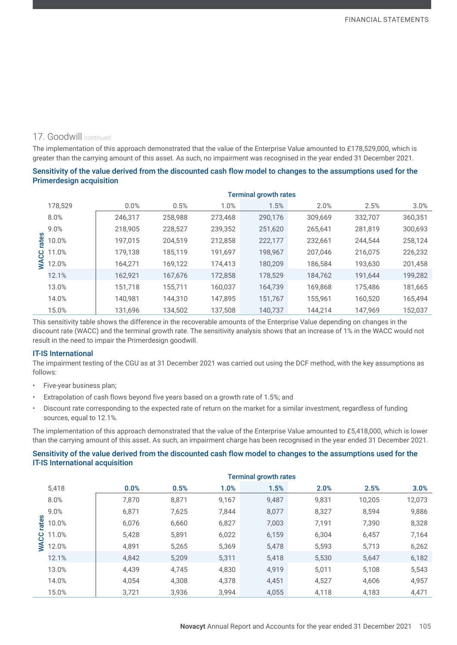### 17. Goodwill continued

The implementation of this approach demonstrated that the value of the Enterprise Value amounted to £178,529,000, which is greater than the carrying amount of this asset. As such, no impairment was recognised in the year ended 31 December 2021.

#### Sensitivity of the value derived from the discounted cash flow model to changes to the assumptions used for the Primerdesign acquisition

|       |         |         |         |         | <b>Terminal growth rates</b> |         |         |         |
|-------|---------|---------|---------|---------|------------------------------|---------|---------|---------|
|       | 178,529 | 0.0%    | 0.5%    | 1.0%    | 1.5%                         | 2.0%    | 2.5%    | 3.0%    |
|       | 8.0%    | 246,317 | 258,988 | 273,468 | 290,176                      | 309,669 | 332,707 | 360,351 |
|       | 9.0%    | 218,905 | 228,527 | 239,352 | 251,620                      | 265,641 | 281,819 | 300,693 |
| rates | 10.0%   | 197,015 | 204,519 | 212,858 | 222,177                      | 232,661 | 244,544 | 258,124 |
| ပ္ပ   | 11.0%   | 179,138 | 185,119 | 191,697 | 198,967                      | 207,046 | 216,075 | 226,232 |
| ℥     | 12.0%   | 164,271 | 169,122 | 174,413 | 180,209                      | 186,584 | 193,630 | 201,458 |
|       | 12.1%   | 162,921 | 167,676 | 172,858 | 178,529                      | 184,762 | 191.644 | 199,282 |
|       | 13.0%   | 151,718 | 155,711 | 160,037 | 164,739                      | 169,868 | 175,486 | 181,665 |
|       | 14.0%   | 140,981 | 144,310 | 147,895 | 151,767                      | 155,961 | 160,520 | 165,494 |
|       | 15.0%   | 131,696 | 134,502 | 137,508 | 140,737                      | 144,214 | 147,969 | 152,037 |

This sensitivity table shows the difference in the recoverable amounts of the Enterprise Value depending on changes in the discount rate (WACC) and the terminal growth rate. The sensitivity analysis shows that an increase of 1% in the WACC would not result in the need to impair the Primerdesign goodwill.

#### IT-IS International

The impairment testing of the CGU as at 31 December 2021 was carried out using the DCF method, with the key assumptions as follows:

- Five-year business plan;
- Extrapolation of cash flows beyond five years based on a growth rate of 1.5%; and
- Discount rate corresponding to the expected rate of return on the market for a similar investment, regardless of funding sources, equal to 12.1%.

The implementation of this approach demonstrated that the value of the Enterprise Value amounted to £5,418,000, which is lower than the carrying amount of this asset. As such, an impairment charge has been recognised in the year ended 31 December 2021.

#### Sensitivity of the value derived from the discounted cash flow model to changes to the assumptions used for the IT-IS International acquisition

|             |       | <b>Terminal growth rates</b> |       |       |       |       |        |        |  |
|-------------|-------|------------------------------|-------|-------|-------|-------|--------|--------|--|
|             | 5,418 | 0.0%                         | 0.5%  | 1.0%  | 1.5%  | 2.0%  | 2.5%   | 3.0%   |  |
|             | 8.0%  | 7,870                        | 8,871 | 9,167 | 9,487 | 9,831 | 10,205 | 12,073 |  |
|             | 9.0%  | 6,871                        | 7,625 | 7.844 | 8,077 | 8,327 | 8,594  | 9,886  |  |
| rates       | 10.0% | 6.076                        | 6,660 | 6,827 | 7,003 | 7.191 | 7,390  | 8,328  |  |
|             | 1.0%  | 5,428                        | 5,891 | 6,022 | 6,159 | 6,304 | 6,457  | 7,164  |  |
| <b>WACC</b> | 12.0% | 4,891                        | 5,265 | 5,369 | 5,478 | 5,593 | 5,713  | 6,262  |  |
|             | 12.1% | 4.842                        | 5,209 | 5,311 | 5,418 | 5,530 | 5,647  | 6,182  |  |
|             | 13.0% | 4,439                        | 4,745 | 4,830 | 4,919 | 5,011 | 5,108  | 5,543  |  |
|             | 14.0% | 4.054                        | 4,308 | 4,378 | 4,451 | 4,527 | 4,606  | 4,957  |  |
|             | 15.0% | 3,721                        | 3,936 | 3.994 | 4,055 | 4,118 | 4,183  | 4,471  |  |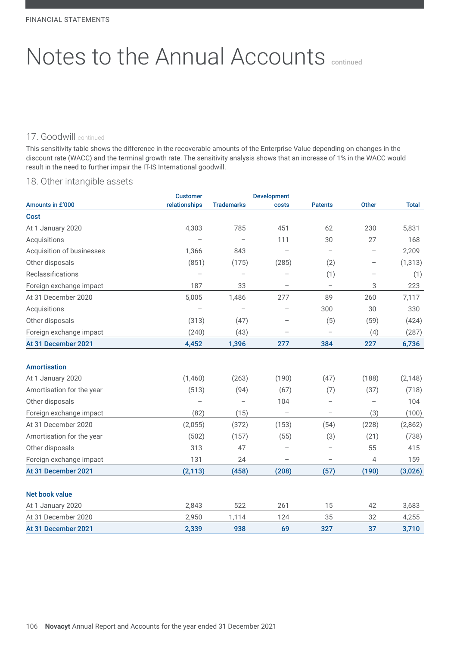### 17. Goodwill continued

This sensitivity table shows the difference in the recoverable amounts of the Enterprise Value depending on changes in the discount rate (WACC) and the terminal growth rate. The sensitivity analysis shows that an increase of 1% in the WACC would result in the need to further impair the IT-IS International goodwill.

# 18. Other intangible assets

|                           | <b>Customer</b>          |                          | <b>Development</b>       |                          |                          |              |
|---------------------------|--------------------------|--------------------------|--------------------------|--------------------------|--------------------------|--------------|
| Amounts in £'000          | relationships            | <b>Trademarks</b>        | costs                    | <b>Patents</b>           | Other                    | <b>Total</b> |
| Cost                      |                          |                          |                          |                          |                          |              |
| At 1 January 2020         | 4,303                    | 785                      | 451                      | 62                       | 230                      | 5,831        |
| Acquisitions              |                          |                          | 111                      | 30                       | 27                       | 168          |
| Acquisition of businesses | 1,366                    | 843                      |                          | $\overline{\phantom{0}}$ | $\overline{\phantom{0}}$ | 2,209        |
| Other disposals           | (851)                    | (175)                    | (285)                    | (2)                      | $\qquad \qquad -$        | (1, 313)     |
| Reclassifications         |                          |                          |                          | (1)                      |                          | (1)          |
| Foreign exchange impact   | 187                      | 33                       | $\overline{\phantom{m}}$ | $\qquad \qquad -$        | 3                        | 223          |
| At 31 December 2020       | 5,005                    | 1,486                    | 277                      | 89                       | 260                      | 7,117        |
| Acquisitions              |                          |                          |                          | 300                      | 30                       | 330          |
| Other disposals           | (313)                    | (47)                     |                          | (5)                      | (59)                     | (424)        |
| Foreign exchange impact   | (240)                    | (43)                     | $\qquad \qquad -$        | $\qquad \qquad -$        | (4)                      | (287)        |
| At 31 December 2021       | 4,452                    | 1,396                    | 277                      | 384                      | 227                      | 6,736        |
|                           |                          |                          |                          |                          |                          |              |
| <b>Amortisation</b>       |                          |                          |                          |                          |                          |              |
| At 1 January 2020         | (1,460)                  | (263)                    | (190)                    | (47)                     | (188)                    | (2, 148)     |
| Amortisation for the year | (513)                    | (94)                     | (67)                     | (7)                      | (37)                     | (718)        |
| Other disposals           | $\overline{\phantom{0}}$ | $\overline{\phantom{0}}$ | 104                      | $\overline{\phantom{0}}$ | $\overline{\phantom{0}}$ | 104          |
| Foreign exchange impact   | (82)                     | (15)                     | $\qquad \qquad -$        | $\qquad \qquad -$        | (3)                      | (100)        |
| At 31 December 2020       | (2,055)                  | (372)                    | (153)                    | (54)                     | (228)                    | (2,862)      |
| Amortisation for the year | (502)                    | (157)                    | (55)                     | (3)                      | (21)                     | (738)        |
| Other disposals           | 313                      | 47                       |                          | $\overline{\phantom{0}}$ | 55                       | 415          |
| Foreign exchange impact   | 131                      | 24                       | $\overline{\phantom{m}}$ | $\qquad \qquad -$        | 4                        | 159          |
| At 31 December 2021       | (2, 113)                 | (458)                    | (208)                    | (57)                     | (190)                    | (3,026)      |
|                           |                          |                          |                          |                          |                          |              |
| <b>Net book value</b>     |                          |                          |                          |                          |                          |              |
| At 1 January 2020         | 2,843                    | 522                      | 261                      | 15                       | 42                       | 3,683        |
| At 31 December 2020       | 2,950                    | 1,114                    | 124                      | 35                       | 32                       | 4,255        |
| At 31 December 2021       | 2,339                    | 938                      | 69                       | 327                      | 37                       | 3,710        |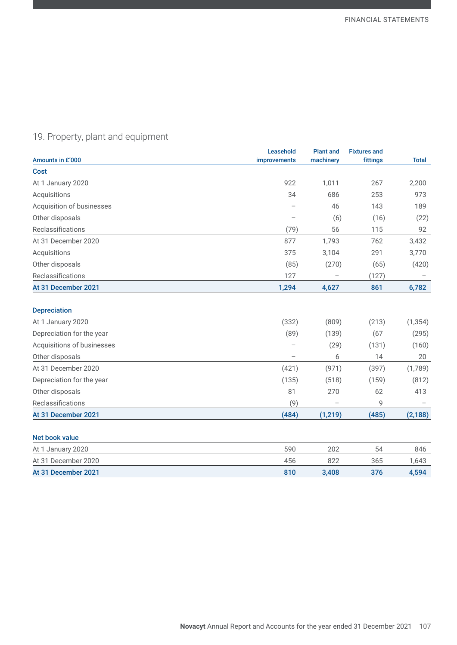# 19. Property, plant and equipment

| Amounts in £'000           | Leasehold<br>improvements | <b>Plant and</b><br>machinery | <b>Fixtures and</b><br>fittings | <b>Total</b> |
|----------------------------|---------------------------|-------------------------------|---------------------------------|--------------|
| <b>Cost</b>                |                           |                               |                                 |              |
| At 1 January 2020          | 922                       | 1,011                         | 267                             | 2,200        |
| Acquisitions               | 34                        | 686                           | 253                             | 973          |
| Acquisition of businesses  |                           | 46                            | 143                             | 189          |
| Other disposals            |                           | (6)                           | (16)                            | (22)         |
| Reclassifications          | (79)                      | 56                            | 115                             | 92           |
| At 31 December 2020        | 877                       | 1,793                         | 762                             | 3,432        |
| Acquisitions               | 375                       | 3,104                         | 291                             | 3,770        |
| Other disposals            | (85)                      | (270)                         | (65)                            | (420)        |
| Reclassifications          | 127                       |                               | (127)                           |              |
| At 31 December 2021        | 1,294                     | 4,627                         | 861                             | 6,782        |
| <b>Depreciation</b>        |                           |                               |                                 |              |
| At 1 January 2020          | (332)                     | (809)                         | (213)                           | (1, 354)     |
| Depreciation for the year  | (89)                      | (139)                         | (67)                            | (295)        |
| Acquisitions of businesses |                           | (29)                          | (131)                           | (160)        |
| Other disposals            |                           | 6                             | 14                              | 20           |
| At 31 December 2020        | (421)                     | (971)                         | (397)                           | (1,789)      |
| Depreciation for the year  | (135)                     | (518)                         | (159)                           | (812)        |
| Other disposals            | 81                        | 270                           | 62                              | 413          |
| Reclassifications          | (9)                       |                               | 9                               |              |
| At 31 December 2021        | (484)                     | (1, 219)                      | (485)                           | (2, 188)     |

| At 1 January 2020   | 590 | 202   | 54  | 846   |
|---------------------|-----|-------|-----|-------|
| At 31 December 2020 | 456 | 822   | 365 | 1.643 |
| At 31 December 2021 | 810 | 3.408 | 376 | 4.594 |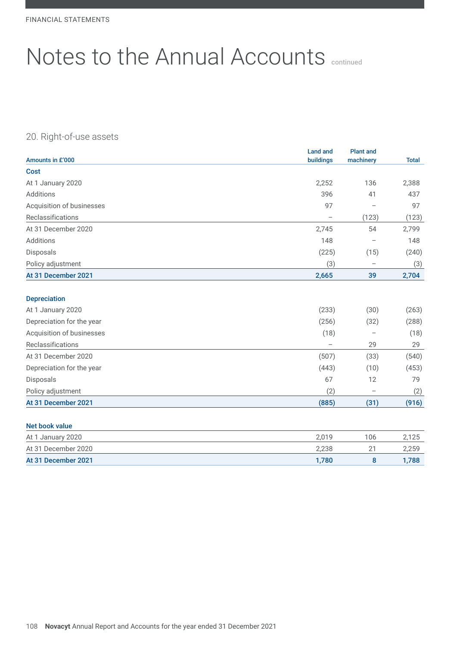# 20. Right-of-use assets

| Amounts in £'000          | Land and<br>buildings | <b>Plant and</b><br>machinery | <b>Total</b> |
|---------------------------|-----------------------|-------------------------------|--------------|
| <b>Cost</b>               |                       |                               |              |
|                           |                       |                               |              |
| At 1 January 2020         | 2,252                 | 136                           | 2,388        |
| Additions                 | 396                   | 41                            | 437          |
| Acquisition of businesses | 97                    |                               | 97           |
| Reclassifications         | $\qquad \qquad -$     | (123)                         | (123)        |
| At 31 December 2020       | 2,745                 | 54                            | 2,799        |
| Additions                 | 148                   | $\qquad \qquad -$             | 148          |
| Disposals                 | (225)                 | (15)                          | (240)        |
| Policy adjustment         | (3)                   | $\overline{\phantom{m}}$      | (3)          |
| At 31 December 2021       | 2,665                 | 39                            | 2,704        |
| <b>Depreciation</b>       |                       |                               |              |
| At 1 January 2020         | (233)                 | (30)                          | (263)        |
| Depreciation for the year | (256)                 | (32)                          | (288)        |
| Acquisition of businesses | (18)                  |                               | (18)         |
| Reclassifications         | $\qquad \qquad -$     | 29                            | 29           |
| At 31 December 2020       | (507)                 | (33)                          | (540)        |
| Depreciation for the year | (443)                 | (10)                          | (453)        |
| Disposals                 | 67                    | 12                            | 79           |
| Policy adjustment         | (2)                   | $\overline{\phantom{0}}$      | (2)          |
| At 31 December 2021       | (885)                 | (31)                          | (916)        |

| At 1 January 2020   | ) በ1 በ | 106      |       |
|---------------------|--------|----------|-------|
| At 31 December 2020 | 2,238  | <u>_</u> | 2,259 |
| At 31 December 2021 | 1.780  |          | 1.788 |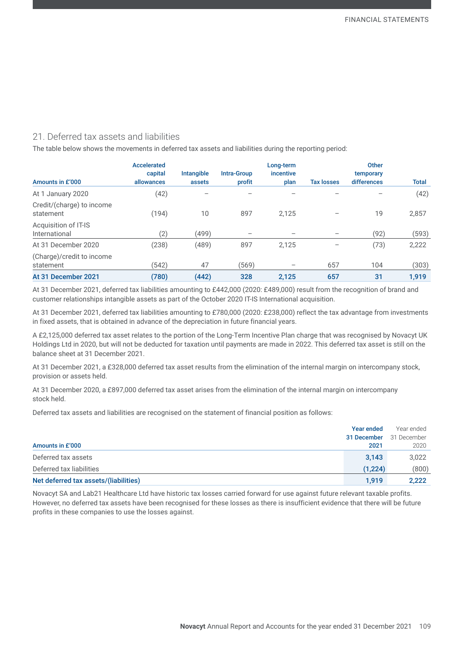# 21. Deferred tax assets and liabilities

The table below shows the movements in deferred tax assets and liabilities during the reporting period:

|                                        | <b>Accelerated</b><br>capital | <b>Intangible</b> | Intra-Group | Long-term<br>incentive |                   | <b>Other</b><br>temporary |              |
|----------------------------------------|-------------------------------|-------------------|-------------|------------------------|-------------------|---------------------------|--------------|
| Amounts in £'000                       | allowances                    | assets            | profit      | plan                   | <b>Tax losses</b> | differences               | <b>Total</b> |
| At 1 January 2020                      | (42)                          |                   |             |                        |                   |                           | (42)         |
| Credit/(charge) to income<br>statement | (194)                         | 10                | 897         | 2.125                  |                   | 19                        | 2,857        |
| Acquisition of IT-IS<br>International  | (2)                           | (499)             |             |                        |                   | (92)                      | (593)        |
| At 31 December 2020                    | (238)                         | (489)             | 897         | 2,125                  |                   | (73)                      | 2,222        |
| (Charge)/credit to income<br>statement | (542)                         | 47                | (569)       |                        | 657               | 104                       | (303)        |
| At 31 December 2021                    | (780)                         | (442)             | 328         | 2,125                  | 657               | 31                        | 1.919        |

At 31 December 2021, deferred tax liabilities amounting to £442,000 (2020: £489,000) result from the recognition of brand and customer relationships intangible assets as part of the October 2020 IT-IS International acquisition.

At 31 December 2021, deferred tax liabilities amounting to £780,000 (2020: £238,000) reflect the tax advantage from investments in fixed assets, that is obtained in advance of the depreciation in future financial years.

A £2,125,000 deferred tax asset relates to the portion of the Long-Term Incentive Plan charge that was recognised by Novacyt UK Holdings Ltd in 2020, but will not be deducted for taxation until payments are made in 2022. This deferred tax asset is still on the balance sheet at 31 December 2021.

At 31 December 2021, a £328,000 deferred tax asset results from the elimination of the internal margin on intercompany stock, provision or assets held.

At 31 December 2020, a £897,000 deferred tax asset arises from the elimination of the internal margin on intercompany stock held.

Deferred tax assets and liabilities are recognised on the statement of financial position as follows:

|                                       | <b>Year ended</b> | Year ended  |
|---------------------------------------|-------------------|-------------|
|                                       | 31 December       | 31 December |
| Amounts in £'000                      | 2021              | 2020        |
| Deferred tax assets                   | 3,143             | 3,022       |
| Deferred tax liabilities              | (1.224)           | (800)       |
| Net deferred tax assets/(liabilities) | 1.919             | 2,222       |

Novacyt SA and Lab21 Healthcare Ltd have historic tax losses carried forward for use against future relevant taxable profits. However, no deferred tax assets have been recognised for these losses as there is insufficient evidence that there will be future profits in these companies to use the losses against.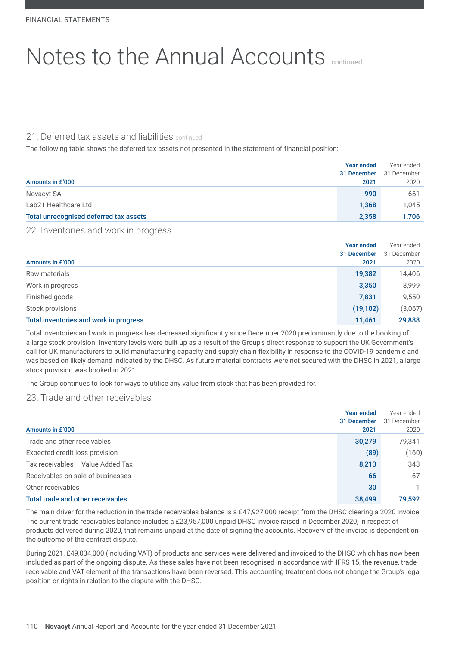# 21. Deferred tax assets and liabilities continued

The following table shows the deferred tax assets not presented in the statement of financial position:

|                                        | Year ended  | Year ended  |
|----------------------------------------|-------------|-------------|
|                                        | 31 December | 31 December |
| Amounts in £'000                       | 2021        | 2020        |
| Novacyt SA                             | 990         | 661         |
| Lab21 Healthcare Ltd                   | 1,368       | 1.045       |
| Total unrecognised deferred tax assets | 2,358       | 1.706       |

### 22. Inventories and work in progress

|                                        | Year ended  | Year ended  |
|----------------------------------------|-------------|-------------|
|                                        | 31 December | 31 December |
| Amounts in £'000                       | 2021        | 2020        |
| Raw materials                          | 19,382      | 14,406      |
| Work in progress                       | 3,350       | 8,999       |
| Finished goods                         | 7,831       | 9,550       |
| Stock provisions                       | (19, 102)   | (3,067)     |
| Total inventories and work in progress | 11,461      | 29,888      |

Total inventories and work in progress has decreased significantly since December 2020 predominantly due to the booking of a large stock provision. Inventory levels were built up as a result of the Group's direct response to support the UK Government's call for UK manufacturers to build manufacturing capacity and supply chain flexibility in response to the COVID-19 pandemic and was based on likely demand indicated by the DHSC. As future material contracts were not secured with the DHSC in 2021, a large stock provision was booked in 2021.

The Group continues to look for ways to utilise any value from stock that has been provided for.

# 23. Trade and other receivables

| Amounts in £'000                  | <b>Year ended</b><br>31 December<br>2021 | Year ended<br>31 December<br>2020 |
|-----------------------------------|------------------------------------------|-----------------------------------|
| Trade and other receivables       | 30,279                                   | 79,341                            |
| Expected credit loss provision    | (89)                                     | (160)                             |
| Tax receivables - Value Added Tax | 8,213                                    | 343                               |
| Receivables on sale of businesses | 66                                       | 67                                |
| Other receivables                 | 30                                       |                                   |
| Total trade and other receivables | 38,499                                   | 79,592                            |

The main driver for the reduction in the trade receivables balance is a £47,927,000 receipt from the DHSC clearing a 2020 invoice. The current trade receivables balance includes a £23,957,000 unpaid DHSC invoice raised in December 2020, in respect of products delivered during 2020, that remains unpaid at the date of signing the accounts. Recovery of the invoice is dependent on the outcome of the contract dispute.

During 2021, £49,034,000 (including VAT) of products and services were delivered and invoiced to the DHSC which has now been included as part of the ongoing dispute. As these sales have not been recognised in accordance with IFRS 15, the revenue, trade receivable and VAT element of the transactions have been reversed. This accounting treatment does not change the Group's legal position or rights in relation to the dispute with the DHSC.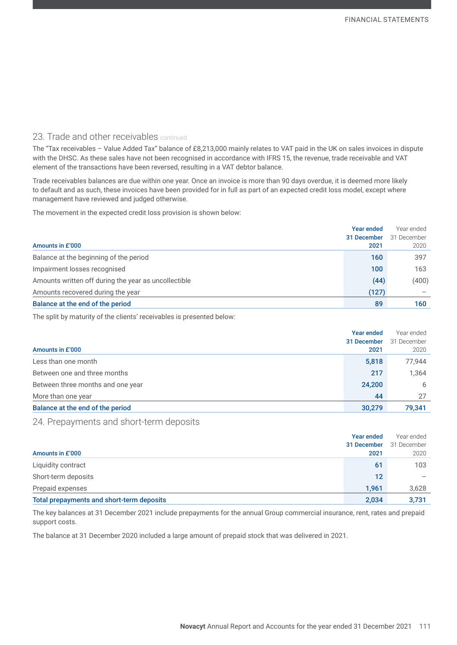### 23. Trade and other receivables continued

The "Tax receivables – Value Added Tax" balance of £8,213,000 mainly relates to VAT paid in the UK on sales invoices in dispute with the DHSC. As these sales have not been recognised in accordance with IFRS 15, the revenue, trade receivable and VAT element of the transactions have been reversed, resulting in a VAT debtor balance.

Trade receivables balances are due within one year. Once an invoice is more than 90 days overdue, it is deemed more likely to default and as such, these invoices have been provided for in full as part of an expected credit loss model, except where management have reviewed and judged otherwise.

The movement in the expected credit loss provision is shown below:

|                                                      | <b>Year ended</b> | Year ended  |
|------------------------------------------------------|-------------------|-------------|
|                                                      | 31 December       | 31 December |
| Amounts in £'000                                     | 2021              | 2020        |
| Balance at the beginning of the period               | 160               | 397         |
| Impairment losses recognised                         | 100               | 163         |
| Amounts written off during the year as uncollectible | (44)              | (400)       |
| Amounts recovered during the year                    | (127)             |             |
| Balance at the end of the period                     | 89                | 160         |

The split by maturity of the clients' receivables is presented below:

|                                   | Year ended  | Year ended  |
|-----------------------------------|-------------|-------------|
|                                   | 31 December | 31 December |
| Amounts in £'000                  | 2021        | 2020        |
| Less than one month               | 5,818       | 77,944      |
| Between one and three months      | 217         | 1,364       |
| Between three months and one year | 24,200      | 6           |
| More than one year                | 44          | 27          |
| Balance at the end of the period  | 30,279      | 79.341      |

### 24. Prepayments and short-term deposits

|                                           | Year ended  | Year ended  |
|-------------------------------------------|-------------|-------------|
|                                           | 31 December | 31 December |
| Amounts in £'000                          | 2021        | 2020        |
| Liquidity contract                        | 61          | 103         |
| Short-term deposits                       | 12          |             |
| Prepaid expenses                          | 1.961       | 3,628       |
| Total prepayments and short-term deposits | 2,034       | 3,731       |

The key balances at 31 December 2021 include prepayments for the annual Group commercial insurance, rent, rates and prepaid support costs.

The balance at 31 December 2020 included a large amount of prepaid stock that was delivered in 2021.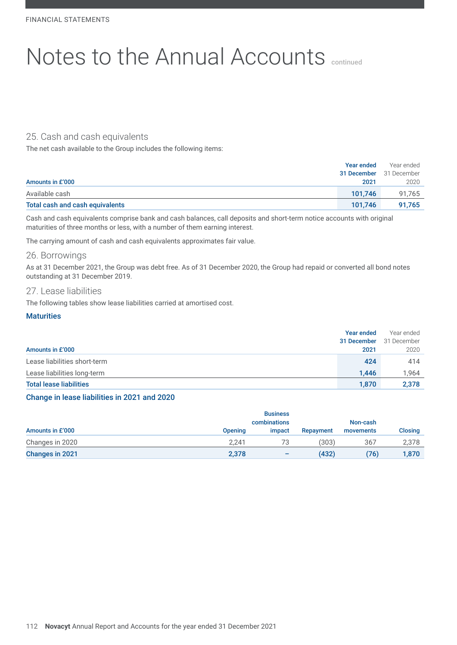# 25. Cash and cash equivalents

The net cash available to the Group includes the following items:

|                                 | Year ended | Year ended                     |
|---------------------------------|------------|--------------------------------|
|                                 |            | <b>31 December</b> 31 December |
| Amounts in £'000                | 2021       | 2020                           |
| Available cash                  | 101.746    | 91.765                         |
| Total cash and cash equivalents | 101.746    | 91.765                         |

Cash and cash equivalents comprise bank and cash balances, call deposits and short-term notice accounts with original maturities of three months or less, with a number of them earning interest.

The carrying amount of cash and cash equivalents approximates fair value.

#### 26. Borrowings

As at 31 December 2021, the Group was debt free. As of 31 December 2020, the Group had repaid or converted all bond notes outstanding at 31 December 2019.

### 27. Lease liabilities

The following tables show lease liabilities carried at amortised cost.

#### **Maturities**

|                                | Year ended  | Year ended  |
|--------------------------------|-------------|-------------|
|                                | 31 December | 31 December |
| Amounts in £'000               | 2021        | 2020        |
| Lease liabilities short-term   | 424         | 414         |
| Lease liabilities long-term    | 1.446       | 1.964       |
| <b>Total lease liabilities</b> | 1.870       | 2,378       |

#### Change in lease liabilities in 2021 and 2020

| <b>Business</b><br>combinations |                |        |           | Non-cash  |         |
|---------------------------------|----------------|--------|-----------|-----------|---------|
| Amounts in £'000                | <b>Opening</b> | impact | Repayment | movements | Closing |
| Changes in 2020                 | 2.241          |        | (303)     | 367       | 2,378   |
| Changes in 2021                 | 2,378          | -      | (432)     | (76)      | 1,870   |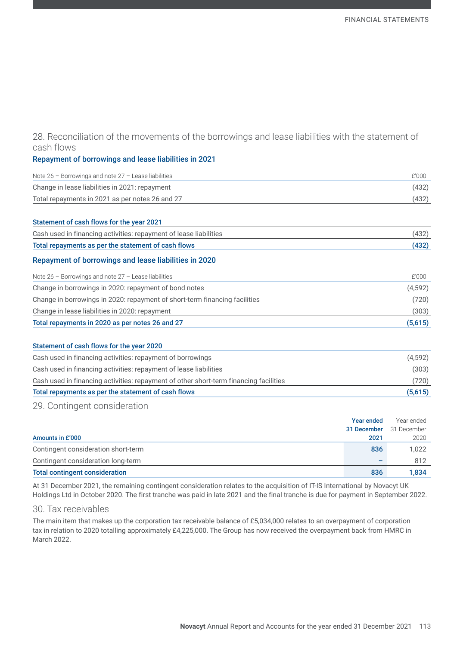# 28. Reconciliation of the movements of the borrowings and lease liabilities with the statement of cash flows

#### Repayment of borrowings and lease liabilities in 2021

| Note $26$ – Borrowings and note $27$ – Lease liabilities | £'000 |
|----------------------------------------------------------|-------|
| Change in lease liabilities in 2021: repayment           | (432) |
| Total repayments in 2021 as per notes 26 and 27          | (432) |

#### Statement of cash flows for the year 2021

| Cash used in financing activities: repayment of lease liabilities | (432) |
|-------------------------------------------------------------------|-------|
| Total repayments as per the statement of cash flows               |       |

#### Repayment of borrowings and lease liabilities in 2020

| Note $26$ - Borrowings and note $27$ - Lease liabilities                   | £'000   |
|----------------------------------------------------------------------------|---------|
| Change in borrowings in 2020: repayment of bond notes                      | (4,592) |
| Change in borrowings in 2020: repayment of short-term financing facilities | (720)   |
| Change in lease liabilities in 2020: repayment                             | (303)   |
| Total repayments in 2020 as per notes 26 and 27                            | (5,615) |

# Statement of cash flows for the year 2020 Cash used in financing activities: repayment of borrowings (4,592) Cash used in financing activities: repayment of lease liabilities (303) Cash used in financing activities: repayment of other short-term financing facilities (720) Total repayments as per the statement of cash flows (5,615) (5,615)

#### 29. Contingent consideration

|                                       | <b>Year ended</b> | Year ended  |
|---------------------------------------|-------------------|-------------|
|                                       | 31 December       | 31 December |
| Amounts in £'000                      | 2021              | 2020        |
| Contingent consideration short-term   | 836               | 1,022       |
| Contingent consideration long-term    |                   | 812         |
| <b>Total contingent consideration</b> | 836               | 1,834       |

At 31 December 2021, the remaining contingent consideration relates to the acquisition of IT-IS International by Novacyt UK Holdings Ltd in October 2020. The first tranche was paid in late 2021 and the final tranche is due for payment in September 2022.

#### 30. Tax receivables

The main item that makes up the corporation tax receivable balance of £5,034,000 relates to an overpayment of corporation tax in relation to 2020 totalling approximately £4,225,000. The Group has now received the overpayment back from HMRC in March 2022.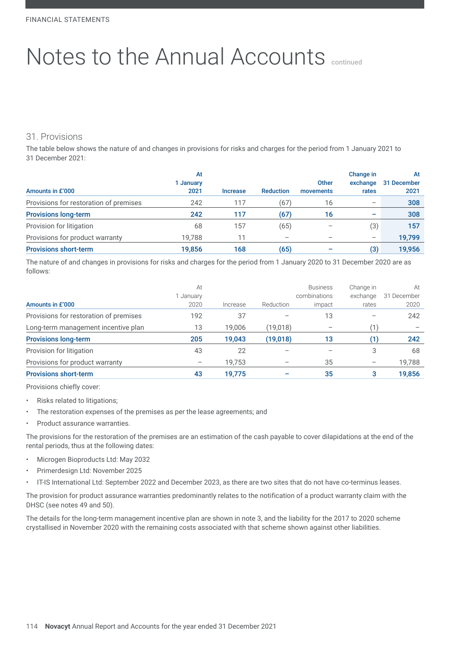# 31. Provisions

The table below shows the nature of and changes in provisions for risks and charges for the period from 1 January 2021 to 31 December 2021:

| Amounts in £'000                       | At<br>January<br>2021 | <b>Increase</b> | <b>Reduction</b> | Other<br>movements | Change in<br>exchange<br>rates | At<br>31 December<br>2021 |
|----------------------------------------|-----------------------|-----------------|------------------|--------------------|--------------------------------|---------------------------|
| Provisions for restoration of premises | 242                   | 117             | (67)             | 16                 | $\overline{\phantom{0}}$       | 308                       |
| <b>Provisions long-term</b>            | 242                   | 117             | (67)             | 16                 | -                              | 308                       |
| Provision for litigation               | 68                    | 157             | (65)             |                    | (3)                            | 157                       |
| Provisions for product warranty        | 19.788                |                 |                  |                    | $\overline{\phantom{0}}$       | 19,799                    |
| <b>Provisions short-term</b>           | 19.856                | 168             | (65)             |                    | (3)                            | 19.956                    |

The nature of and changes in provisions for risks and charges for the period from 1 January 2020 to 31 December 2020 are as follows:

| Amounts in £'000                       | At<br>1 January<br>2020 | Increase | Reduction | <b>Business</b><br>combinations<br>impact | Change in<br>exchange<br>rates | At<br>31 December<br>2020 |
|----------------------------------------|-------------------------|----------|-----------|-------------------------------------------|--------------------------------|---------------------------|
| Provisions for restoration of premises | 192                     | 37       |           | 13                                        |                                | 242                       |
| Long-term management incentive plan    | 13                      | 19.006   | (19,018)  |                                           |                                |                           |
| <b>Provisions long-term</b>            | 205                     | 19.043   | (19, 018) | 13                                        | (1)                            | 242                       |
| Provision for litigation               | 43                      | 22       |           |                                           | 3                              | 68                        |
| Provisions for product warranty        |                         | 19,753   |           | 35                                        | $\qquad \qquad$                | 19,788                    |
| <b>Provisions short-term</b>           | 43                      | 19,775   |           | 35                                        | 3                              | 19,856                    |

Provisions chiefly cover:

- Risks related to litigations;
- The restoration expenses of the premises as per the lease agreements; and
- Product assurance warranties.

The provisions for the restoration of the premises are an estimation of the cash payable to cover dilapidations at the end of the rental periods, thus at the following dates:

- Microgen Bioproducts Ltd: May 2032
- Primerdesign Ltd: November 2025
- IT-IS International Ltd: September 2022 and December 2023, as there are two sites that do not have co-terminus leases.

The provision for product assurance warranties predominantly relates to the notification of a product warranty claim with the DHSC (see notes 49 and 50).

The details for the long-term management incentive plan are shown in note 3, and the liability for the 2017 to 2020 scheme crystallised in November 2020 with the remaining costs associated with that scheme shown against other liabilities.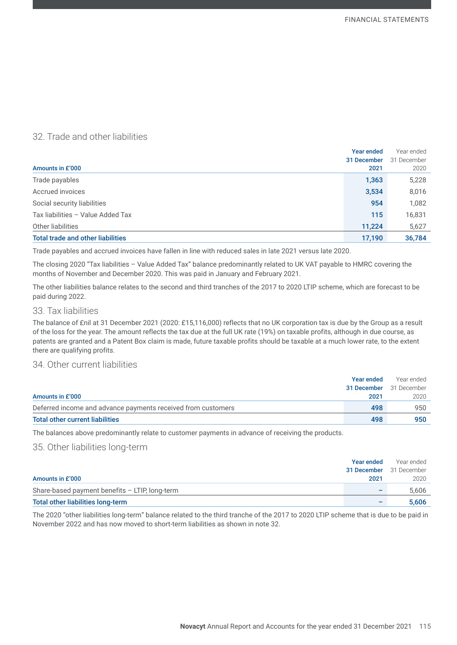# 32. Trade and other liabilities

|                                          | <b>Year ended</b> | Year ended  |
|------------------------------------------|-------------------|-------------|
|                                          | 31 December       | 31 December |
| Amounts in £'000                         | 2021              | 2020        |
| Trade payables                           | 1,363             | 5,228       |
| Accrued invoices                         | 3,534             | 8,016       |
| Social security liabilities              | 954               | 1,082       |
| Tax liabilities - Value Added Tax        | 115               | 16,831      |
| Other liabilities                        | 11,224            | 5,627       |
| <b>Total trade and other liabilities</b> | 17,190            | 36,784      |

Trade payables and accrued invoices have fallen in line with reduced sales in late 2021 versus late 2020.

The closing 2020 "Tax liabilities – Value Added Tax" balance predominantly related to UK VAT payable to HMRC covering the months of November and December 2020. This was paid in January and February 2021.

The other liabilities balance relates to the second and third tranches of the 2017 to 2020 LTIP scheme, which are forecast to be paid during 2022.

#### 33. Tax liabilities

The balance of £nil at 31 December 2021 (2020: £15,116,000) reflects that no UK corporation tax is due by the Group as a result of the loss for the year. The amount reflects the tax due at the full UK rate (19%) on taxable profits, although in due course, as patents are granted and a Patent Box claim is made, future taxable profits should be taxable at a much lower rate, to the extent there are qualifying profits.

# 34. Other current liabilities

|                                                              | Year ended  | Year ended  |
|--------------------------------------------------------------|-------------|-------------|
|                                                              | 31 December | 31 December |
| Amounts in £'000                                             | 2021        | 2020        |
| Deferred income and advance payments received from customers | 498         | 950         |
| <b>Total other current liabilities</b>                       | 498         | 950         |

The balances above predominantly relate to customer payments in advance of receiving the products.

#### 35. Other liabilities long-term

|                                                | Year ended                     | Year ended |
|------------------------------------------------|--------------------------------|------------|
|                                                | <b>31 December</b> 31 December |            |
| Amounts in £'000                               | 2021                           | 2020       |
| Share-based payment benefits - LTIP, long-term |                                | 5.606      |
| Total other liabilities long-term              | -                              | 5.606      |

The 2020 "other liabilities long-term" balance related to the third tranche of the 2017 to 2020 LTIP scheme that is due to be paid in November 2022 and has now moved to short-term liabilities as shown in note 32.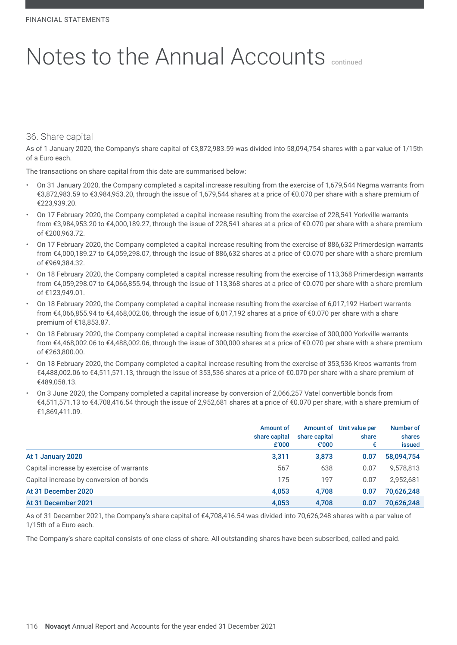### 36. Share capital

As of 1 January 2020, the Company's share capital of €3,872,983.59 was divided into 58,094,754 shares with a par value of 1/15th of a Euro each.

The transactions on share capital from this date are summarised below:

- On 31 January 2020, the Company completed a capital increase resulting from the exercise of 1,679,544 Negma warrants from €3,872,983.59 to €3,984,953.20, through the issue of 1,679,544 shares at a price of €0.070 per share with a share premium of €223,939.20.
- On 17 February 2020, the Company completed a capital increase resulting from the exercise of 228,541 Yorkville warrants from €3,984,953.20 to €4,000,189.27, through the issue of 228,541 shares at a price of €0.070 per share with a share premium of €200,963.72.
- On 17 February 2020, the Company completed a capital increase resulting from the exercise of 886,632 Primerdesign warrants from €4,000,189.27 to €4,059,298.07, through the issue of 886,632 shares at a price of €0.070 per share with a share premium of €969,384.32.
- On 18 February 2020, the Company completed a capital increase resulting from the exercise of 113,368 Primerdesign warrants from €4,059,298.07 to €4,066,855.94, through the issue of 113,368 shares at a price of €0.070 per share with a share premium of €123,949.01.
- On 18 February 2020, the Company completed a capital increase resulting from the exercise of 6,017,192 Harbert warrants from €4,066,855.94 to €4,468,002.06, through the issue of 6,017,192 shares at a price of €0.070 per share with a share premium of €18,853.87.
- On 18 February 2020, the Company completed a capital increase resulting from the exercise of 300,000 Yorkville warrants from €4,468,002.06 to €4,488,002.06, through the issue of 300,000 shares at a price of €0.070 per share with a share premium of €263,800.00.
- On 18 February 2020, the Company completed a capital increase resulting from the exercise of 353,536 Kreos warrants from €4,488,002.06 to €4,511,571.13, through the issue of 353,536 shares at a price of €0.070 per share with a share premium of €489,058.13.
- On 3 June 2020, the Company completed a capital increase by conversion of 2,066,257 Vatel convertible bonds from €4,511,571.13 to €4,708,416.54 through the issue of 2,952,681 shares at a price of €0.070 per share, with a share premium of €1,869,411.09.

|                                          | Amount of<br>share capital<br>£'000 | Amount of<br>share capital<br>€'000 | Unit value per<br>share<br>€ | Number of<br>shares<br>issued |
|------------------------------------------|-------------------------------------|-------------------------------------|------------------------------|-------------------------------|
| At 1 January 2020                        | 3,311                               | 3,873                               | 0.07                         | 58,094,754                    |
| Capital increase by exercise of warrants | 567                                 | 638                                 | 0.07                         | 9,578,813                     |
| Capital increase by conversion of bonds  | 175                                 | 197                                 | 0.07                         | 2.952.681                     |
| At 31 December 2020                      | 4.053                               | 4.708                               | 0.07                         | 70,626,248                    |
| At 31 December 2021                      | 4,053                               | 4,708                               | 0.07                         | 70,626,248                    |

As of 31 December 2021, the Company's share capital of €4,708,416.54 was divided into 70,626,248 shares with a par value of 1/15th of a Euro each.

The Company's share capital consists of one class of share. All outstanding shares have been subscribed, called and paid.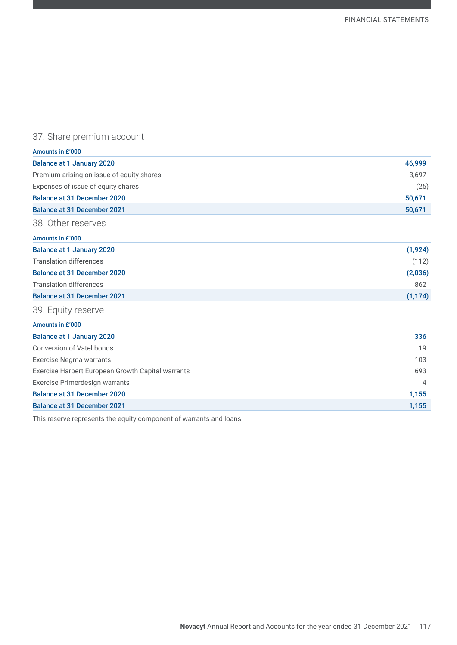# 37. Share premium account

| Amounts in £'000                                  |          |
|---------------------------------------------------|----------|
| <b>Balance at 1 January 2020</b>                  | 46,999   |
| Premium arising on issue of equity shares         | 3,697    |
| Expenses of issue of equity shares                | (25)     |
| <b>Balance at 31 December 2020</b>                | 50,671   |
| <b>Balance at 31 December 2021</b>                | 50,671   |
| 38. Other reserves                                |          |
| Amounts in £'000                                  |          |
| <b>Balance at 1 January 2020</b>                  | (1, 924) |
| <b>Translation differences</b>                    | (112)    |
| <b>Balance at 31 December 2020</b>                | (2,036)  |
| <b>Translation differences</b>                    | 862      |
| <b>Balance at 31 December 2021</b>                | (1, 174) |
| 39. Equity reserve                                |          |
| Amounts in £'000                                  |          |
| <b>Balance at 1 January 2020</b>                  | 336      |
| Conversion of Vatel bonds                         | 19       |
| Exercise Negma warrants                           | 103      |
| Exercise Harbert European Growth Capital warrants | 693      |
| Exercise Primerdesign warrants                    | 4        |
| <b>Balance at 31 December 2020</b>                | 1,155    |
| <b>Balance at 31 December 2021</b>                | 1,155    |

This reserve represents the equity component of warrants and loans.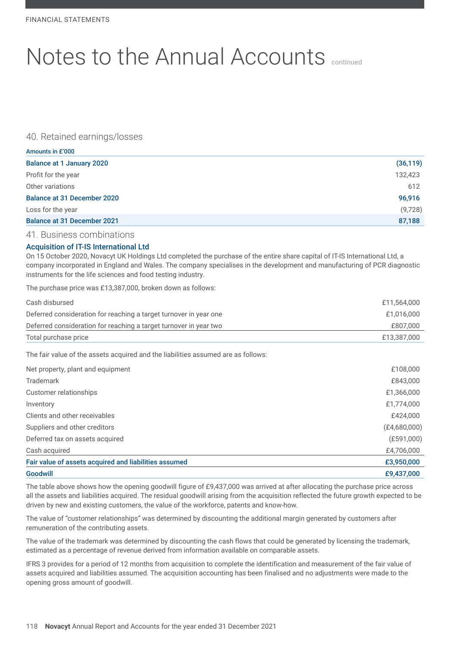### 40. Retained earnings/losses

| Amounts in £'000                   |           |
|------------------------------------|-----------|
| <b>Balance at 1 January 2020</b>   | (36, 119) |
| Profit for the year                | 132,423   |
| Other variations                   | 612       |
| <b>Balance at 31 December 2020</b> | 96,916    |
| Loss for the year                  | (9,728)   |
| <b>Balance at 31 December 2021</b> | 87,188    |

#### 41. Business combinations

#### Acquisition of IT-IS International Ltd

On 15 October 2020, Novacyt UK Holdings Ltd completed the purchase of the entire share capital of IT-IS International Ltd, a company incorporated in England and Wales. The company specialises in the development and manufacturing of PCR diagnostic instruments for the life sciences and food testing industry.

The purchase price was £13,387,000, broken down as follows:

| Cash disbursed                                                                    | £11,564,000  |
|-----------------------------------------------------------------------------------|--------------|
| Deferred consideration for reaching a target turnover in year one                 | £1,016,000   |
| Deferred consideration for reaching a target turnover in year two                 | £807,000     |
| Total purchase price                                                              | £13,387,000  |
| The fair value of the assets acquired and the liabilities assumed are as follows: |              |
| Net property, plant and equipment                                                 | £108,000     |
| Trademark                                                                         | £843,000     |
| Customer relationships                                                            | £1,366,000   |
| Inventory                                                                         | £1,774,000   |
| Clients and other receivables                                                     | £424,000     |
| Suppliers and other creditors                                                     | (E4,680,000) |
| Deferred tax on assets acquired                                                   | (E591,000)   |
| Cash acquired                                                                     | £4,706,000   |
| Fair value of assets acquired and liabilities assumed                             | £3,950,000   |
| <b>Goodwill</b>                                                                   | £9,437,000   |

The table above shows how the opening goodwill figure of £9,437,000 was arrived at after allocating the purchase price across all the assets and liabilities acquired. The residual goodwill arising from the acquisition reflected the future growth expected to be driven by new and existing customers, the value of the workforce, patents and know-how.

The value of "customer relationships" was determined by discounting the additional margin generated by customers after remuneration of the contributing assets.

The value of the trademark was determined by discounting the cash flows that could be generated by licensing the trademark, estimated as a percentage of revenue derived from information available on comparable assets.

IFRS 3 provides for a period of 12 months from acquisition to complete the identification and measurement of the fair value of assets acquired and liabilities assumed. The acquisition accounting has been finalised and no adjustments were made to the opening gross amount of goodwill.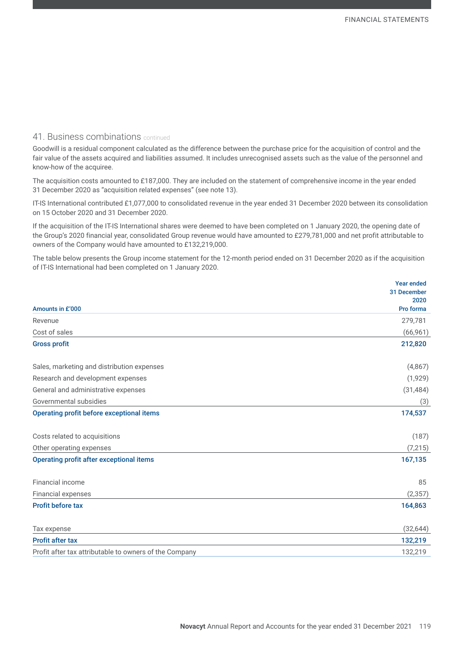### 41. Business combinations continued

Goodwill is a residual component calculated as the difference between the purchase price for the acquisition of control and the fair value of the assets acquired and liabilities assumed. It includes unrecognised assets such as the value of the personnel and know-how of the acquiree.

The acquisition costs amounted to £187,000. They are included on the statement of comprehensive income in the year ended 31 December 2020 as "acquisition related expenses" (see note 13).

IT-IS International contributed £1,077,000 to consolidated revenue in the year ended 31 December 2020 between its consolidation on 15 October 2020 and 31 December 2020.

If the acquisition of the IT-IS International shares were deemed to have been completed on 1 January 2020, the opening date of the Group's 2020 financial year, consolidated Group revenue would have amounted to £279,781,000 and net profit attributable to owners of the Company would have amounted to £132,219,000.

The table below presents the Group income statement for the 12-month period ended on 31 December 2020 as if the acquisition of IT-IS International had been completed on 1 January 2020.

|                                                        | <b>Year ended</b>   |
|--------------------------------------------------------|---------------------|
|                                                        | 31 December<br>2020 |
| Amounts in £'000                                       | Pro forma           |
| Revenue                                                | 279,781             |
| Cost of sales                                          | (66, 961)           |
| <b>Gross profit</b>                                    | 212,820             |
| Sales, marketing and distribution expenses             | (4,867)             |
| Research and development expenses                      | (1,929)             |
| General and administrative expenses                    | (31, 484)           |
| Governmental subsidies                                 | (3)                 |
| <b>Operating profit before exceptional items</b>       | 174,537             |
| Costs related to acquisitions                          | (187)               |
| Other operating expenses                               | (7, 215)            |
| <b>Operating profit after exceptional items</b>        | 167,135             |
| Financial income                                       | 85                  |
| Financial expenses                                     | (2, 357)            |
| <b>Profit before tax</b>                               | 164,863             |
| Tax expense                                            | (32, 644)           |
| <b>Profit after tax</b>                                | 132,219             |
| Profit after tax attributable to owners of the Company | 132,219             |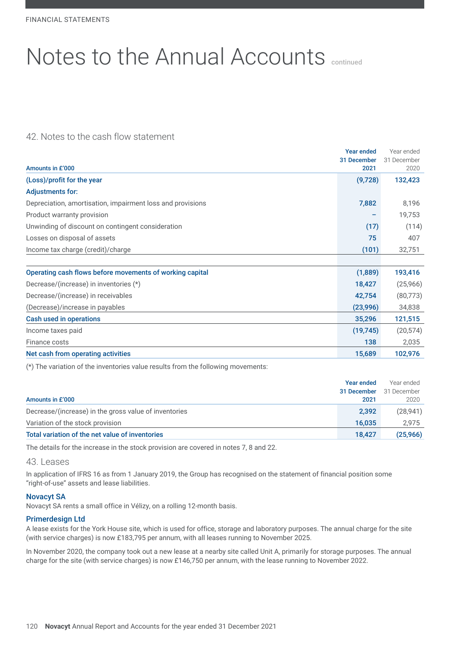# 42. Notes to the cash flow statement

|                                                            | <b>Year ended</b>   | Year ended          |
|------------------------------------------------------------|---------------------|---------------------|
| Amounts in £'000                                           | 31 December<br>2021 | 31 December<br>2020 |
| (Loss)/profit for the year                                 | (9,728)             | 132,423             |
| <b>Adjustments for:</b>                                    |                     |                     |
| Depreciation, amortisation, impairment loss and provisions | 7,882               | 8,196               |
| Product warranty provision                                 |                     | 19,753              |
| Unwinding of discount on contingent consideration          | (17)                | (114)               |
| Losses on disposal of assets                               | 75                  | 407                 |
| Income tax charge (credit)/charge                          | (101)               | 32,751              |
|                                                            |                     |                     |
| Operating cash flows before movements of working capital   | (1,889)             | 193,416             |
| Decrease/(increase) in inventories (*)                     | 18,427              | (25,966)            |
| Decrease/(increase) in receivables                         | 42,754              | (80,773)            |
| (Decrease)/increase in payables                            | (23,996)            | 34,838              |
| <b>Cash used in operations</b>                             | 35,296              | 121,515             |
| Income taxes paid                                          | (19, 745)           | (20, 574)           |
| Finance costs                                              | 138                 | 2,035               |
| Net cash from operating activities                         | 15,689              | 102,976             |

(\*) The variation of the inventories value results from the following movements:

|                                                       | <b>Year ended</b> | Year ended  |
|-------------------------------------------------------|-------------------|-------------|
|                                                       | 31 December       | 31 December |
| Amounts in £'000                                      | 2021              | 2020        |
| Decrease/(increase) in the gross value of inventories | 2,392             | (28, 941)   |
| Variation of the stock provision                      | 16.035            | 2.975       |
| Total variation of the net value of inventories       | 18.427            | (25,966)    |

The details for the increase in the stock provision are covered in notes 7, 8 and 22.

#### 43. Leases

In application of IFRS 16 as from 1 January 2019, the Group has recognised on the statement of financial position some "right-of-use" assets and lease liabilities.

#### Novacyt SA

Novacyt SA rents a small office in Vélizy, on a rolling 12-month basis.

#### Primerdesign Ltd

A lease exists for the York House site, which is used for office, storage and laboratory purposes. The annual charge for the site (with service charges) is now £183,795 per annum, with all leases running to November 2025.

In November 2020, the company took out a new lease at a nearby site called Unit A, primarily for storage purposes. The annual charge for the site (with service charges) is now £146,750 per annum, with the lease running to November 2022.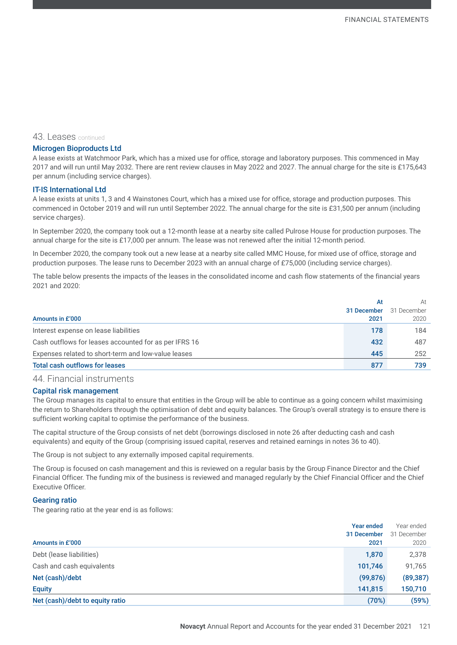#### 43. Leases continued

#### Microgen Bioproducts Ltd

A lease exists at Watchmoor Park, which has a mixed use for office, storage and laboratory purposes. This commenced in May 2017 and will run until May 2032. There are rent review clauses in May 2022 and 2027. The annual charge for the site is £175,643 per annum (including service charges).

#### IT-IS International Ltd

A lease exists at units 1, 3 and 4 Wainstones Court, which has a mixed use for office, storage and production purposes. This commenced in October 2019 and will run until September 2022. The annual charge for the site is £31,500 per annum (including service charges).

In September 2020, the company took out a 12-month lease at a nearby site called Pulrose House for production purposes. The annual charge for the site is £17,000 per annum. The lease was not renewed after the initial 12-month period.

In December 2020, the company took out a new lease at a nearby site called MMC House, for mixed use of office, storage and production purposes. The lease runs to December 2023 with an annual charge of £75,000 (including service charges).

The table below presents the impacts of the leases in the consolidated income and cash flow statements of the financial years 2021 and 2020:

|                                                       | At          | At          |
|-------------------------------------------------------|-------------|-------------|
|                                                       | 31 December | 31 December |
| Amounts in £'000                                      | 2021        | 2020        |
| Interest expense on lease liabilities                 | 178         | 184         |
| Cash outflows for leases accounted for as per IFRS 16 | 432         | 487         |
| Expenses related to short-term and low-value leases   | 445         | 252         |
| <b>Total cash outflows for leases</b>                 | 877         | 739         |

### 44. Financial instruments

#### Capital risk management

The Group manages its capital to ensure that entities in the Group will be able to continue as a going concern whilst maximising the return to Shareholders through the optimisation of debt and equity balances. The Group's overall strategy is to ensure there is sufficient working capital to optimise the performance of the business.

The capital structure of the Group consists of net debt (borrowings disclosed in note 26 after deducting cash and cash equivalents) and equity of the Group (comprising issued capital, reserves and retained earnings in notes 36 to 40).

The Group is not subject to any externally imposed capital requirements.

The Group is focused on cash management and this is reviewed on a regular basis by the Group Finance Director and the Chief Financial Officer. The funding mix of the business is reviewed and managed regularly by the Chief Financial Officer and the Chief Executive Officer.

#### Gearing ratio

The gearing ratio at the year end is as follows:

|                                 | <b>Year ended</b> | Year ended  |
|---------------------------------|-------------------|-------------|
|                                 | 31 December       | 31 December |
| Amounts in £'000                | 2021              | 2020        |
| Debt (lease liabilities)        | 1,870             | 2,378       |
| Cash and cash equivalents       | 101,746           | 91,765      |
| Net (cash)/debt                 | (99, 876)         | (89, 387)   |
| <b>Equity</b>                   | 141,815           | 150,710     |
| Net (cash)/debt to equity ratio | (70%)             | (59%)       |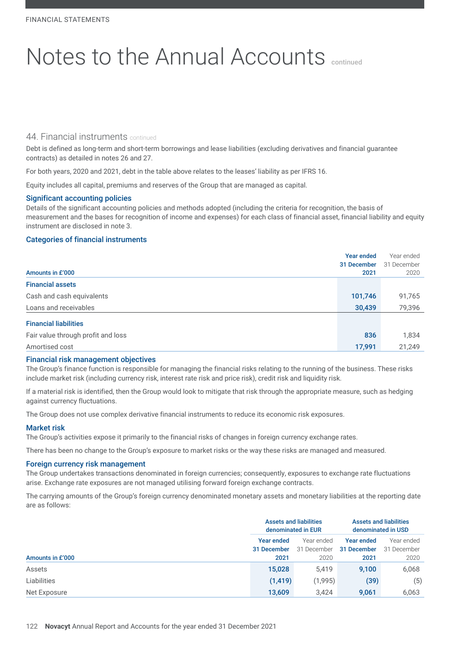### 44. Financial instruments continued

Debt is defined as long-term and short-term borrowings and lease liabilities (excluding derivatives and financial guarantee contracts) as detailed in notes 26 and 27.

For both years, 2020 and 2021, debt in the table above relates to the leases' liability as per IFRS 16.

Equity includes all capital, premiums and reserves of the Group that are managed as capital.

#### Significant accounting policies

Details of the significant accounting policies and methods adopted (including the criteria for recognition, the basis of measurement and the bases for recognition of income and expenses) for each class of financial asset, financial liability and equity instrument are disclosed in note 3.

#### Categories of financial instruments

|                                    | <b>Year ended</b> | Year ended  |
|------------------------------------|-------------------|-------------|
|                                    | 31 December       | 31 December |
| Amounts in £'000                   | 2021              | 2020        |
| <b>Financial assets</b>            |                   |             |
| Cash and cash equivalents          | 101,746           | 91,765      |
| Loans and receivables              | 30,439            | 79,396      |
| <b>Financial liabilities</b>       |                   |             |
| Fair value through profit and loss | 836               | 1,834       |
| Amortised cost                     | 17,991            | 21,249      |

#### Financial risk management objectives

The Group's finance function is responsible for managing the financial risks relating to the running of the business. These risks include market risk (including currency risk, interest rate risk and price risk), credit risk and liquidity risk.

If a material risk is identified, then the Group would look to mitigate that risk through the appropriate measure, such as hedging against currency fluctuations.

The Group does not use complex derivative financial instruments to reduce its economic risk exposures.

#### Market risk

The Group's activities expose it primarily to the financial risks of changes in foreign currency exchange rates.

There has been no change to the Group's exposure to market risks or the way these risks are managed and measured.

#### Foreign currency risk management

The Group undertakes transactions denominated in foreign currencies; consequently, exposures to exchange rate fluctuations arise. Exchange rate exposures are not managed utilising forward foreign exchange contracts.

The carrying amounts of the Group's foreign currency denominated monetary assets and monetary liabilities at the reporting date are as follows:

|                  | <b>Assets and liabilities</b><br>denominated in EUR |                                   | <b>Assets and liabilities</b><br>denominated in USD |                                   |
|------------------|-----------------------------------------------------|-----------------------------------|-----------------------------------------------------|-----------------------------------|
| Amounts in £'000 | Year ended<br>31 December<br>2021                   | Year ended<br>31 December<br>2020 | <b>Year ended</b><br>31 December<br>2021            | Year ended<br>31 December<br>2020 |
| Assets           | 15,028                                              | 5,419                             | 9,100                                               | 6,068                             |
| Liabilities      | (1, 419)                                            | (1,995)                           | (39)                                                | (5)                               |
| Net Exposure     | 13.609                                              | 3.424                             | 9.061                                               | 6,063                             |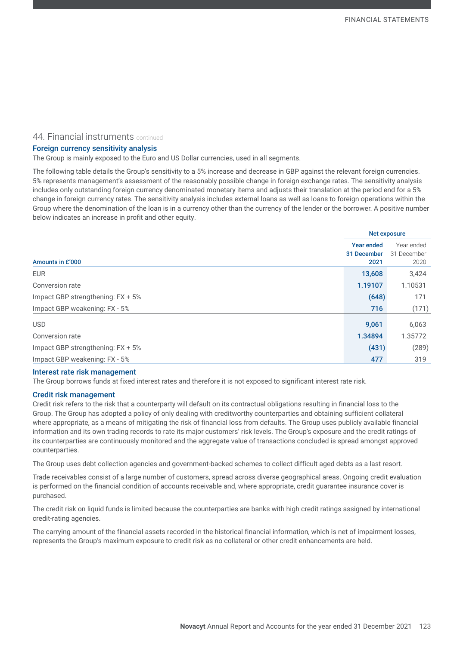#### 44. Financial instruments continued

#### Foreign currency sensitivity analysis

The Group is mainly exposed to the Euro and US Dollar currencies, used in all segments.

The following table details the Group's sensitivity to a 5% increase and decrease in GBP against the relevant foreign currencies. 5% represents management's assessment of the reasonably possible change in foreign exchange rates. The sensitivity analysis includes only outstanding foreign currency denominated monetary items and adjusts their translation at the period end for a 5% change in foreign currency rates. The sensitivity analysis includes external loans as well as loans to foreign operations within the Group where the denomination of the loan is in a currency other than the currency of the lender or the borrower. A positive number below indicates an increase in profit and other equity.

|                                   | <b>Net exposure</b>                      |                                   |  |
|-----------------------------------|------------------------------------------|-----------------------------------|--|
| Amounts in £'000                  | <b>Year ended</b><br>31 December<br>2021 | Year ended<br>31 December<br>2020 |  |
| <b>EUR</b>                        | 13,608                                   | 3,424                             |  |
| Conversion rate                   | 1.19107                                  | 1.10531                           |  |
| Impact GBP strengthening: FX + 5% | (648)                                    | 171                               |  |
| Impact GBP weakening: FX - 5%     | 716                                      | (171)                             |  |
| <b>USD</b>                        | 9,061                                    | 6,063                             |  |
| Conversion rate                   | 1.34894                                  | 1.35772                           |  |
| Impact GBP strengthening: FX + 5% | (431)                                    | (289)                             |  |
| Impact GBP weakening: FX - 5%     | 477                                      | 319                               |  |

#### Interest rate risk management

The Group borrows funds at fixed interest rates and therefore it is not exposed to significant interest rate risk.

#### Credit risk management

Credit risk refers to the risk that a counterparty will default on its contractual obligations resulting in financial loss to the Group. The Group has adopted a policy of only dealing with creditworthy counterparties and obtaining sufficient collateral where appropriate, as a means of mitigating the risk of financial loss from defaults. The Group uses publicly available financial information and its own trading records to rate its major customers' risk levels. The Group's exposure and the credit ratings of its counterparties are continuously monitored and the aggregate value of transactions concluded is spread amongst approved counterparties.

The Group uses debt collection agencies and government-backed schemes to collect difficult aged debts as a last resort.

Trade receivables consist of a large number of customers, spread across diverse geographical areas. Ongoing credit evaluation is performed on the financial condition of accounts receivable and, where appropriate, credit guarantee insurance cover is purchased.

The credit risk on liquid funds is limited because the counterparties are banks with high credit ratings assigned by international credit-rating agencies.

The carrying amount of the financial assets recorded in the historical financial information, which is net of impairment losses, represents the Group's maximum exposure to credit risk as no collateral or other credit enhancements are held.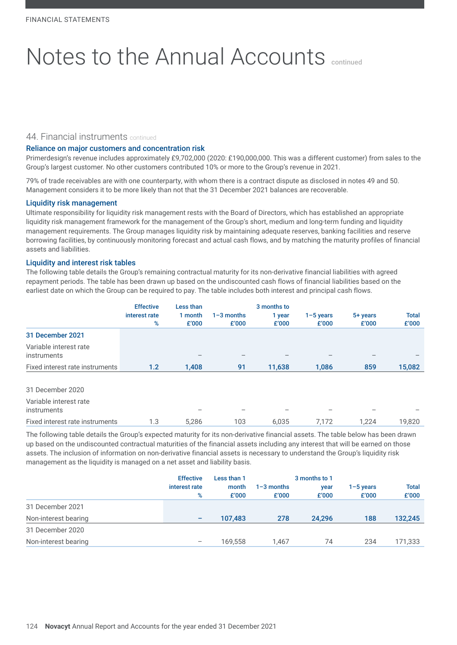#### 44. Financial instruments continued

#### Reliance on major customers and concentration risk

Primerdesign's revenue includes approximately £9,702,000 (2020: £190,000,000. This was a different customer) from sales to the Group's largest customer. No other customers contributed 10% or more to the Group's revenue in 2021.

79% of trade receivables are with one counterparty, with whom there is a contract dispute as disclosed in notes 49 and 50. Management considers it to be more likely than not that the 31 December 2021 balances are recoverable.

#### Liquidity risk management

Ultimate responsibility for liquidity risk management rests with the Board of Directors, which has established an appropriate liquidity risk management framework for the management of the Group's short, medium and long-term funding and liquidity management requirements. The Group manages liquidity risk by maintaining adequate reserves, banking facilities and reserve borrowing facilities, by continuously monitoring forecast and actual cash flows, and by matching the maturity profiles of financial assets and liabilities.

#### Liquidity and interest risk tables

The following table details the Group's remaining contractual maturity for its non-derivative financial liabilities with agreed repayment periods. The table has been drawn up based on the undiscounted cash flows of financial liabilities based on the earliest date on which the Group can be required to pay. The table includes both interest and principal cash flows.

|                                              | <b>Effective</b><br>interest rate<br>% | Less than<br>1 month<br>£'000 | $1 - 3$ months<br>£'000 | 3 months to<br>1 year<br>£'000 | $1-5$ years<br>£'000 | 5+ years<br>£'000 | <b>Total</b><br>£'000 |
|----------------------------------------------|----------------------------------------|-------------------------------|-------------------------|--------------------------------|----------------------|-------------------|-----------------------|
| 31 December 2021                             |                                        |                               |                         |                                |                      |                   |                       |
| Variable interest rate<br><i>instruments</i> |                                        |                               |                         |                                |                      |                   |                       |
| Fixed interest rate instruments              | 1.2                                    | 1,408                         | 91                      | 11,638                         | 1,086                | 859               | 15,082                |
| 31 December 2020                             |                                        |                               |                         |                                |                      |                   |                       |
| Variable interest rate<br><i>instruments</i> |                                        |                               |                         |                                |                      |                   |                       |
| Fixed interest rate instruments              | 1.3                                    | 5.286                         | 103                     | 6.035                          | 7.172                | 1.224             | 19.820                |

The following table details the Group's expected maturity for its non-derivative financial assets. The table below has been drawn up based on the undiscounted contractual maturities of the financial assets including any interest that will be earned on those assets. The inclusion of information on non-derivative financial assets is necessary to understand the Group's liquidity risk management as the liquidity is managed on a net asset and liability basis.

|                      | <b>Effective</b><br>interest rate<br>% | Less than 1<br>month<br>£'000 | $1 - 3$ months<br>£'000 | 3 months to 1<br>year<br>£'000 | $1 - 5$ years<br>£'000 | <b>Total</b><br>£'000 |
|----------------------|----------------------------------------|-------------------------------|-------------------------|--------------------------------|------------------------|-----------------------|
| 31 December 2021     |                                        |                               |                         |                                |                        |                       |
| Non-interest bearing | -                                      | 107.483                       | 278                     | 24.296                         | 188                    | 132,245               |
| 31 December 2020     |                                        |                               |                         |                                |                        |                       |
| Non-interest bearing | $\hspace{0.1mm}-\hspace{0.1mm}$        | 169,558                       | 1.467                   | 74                             | 234                    | 171,333               |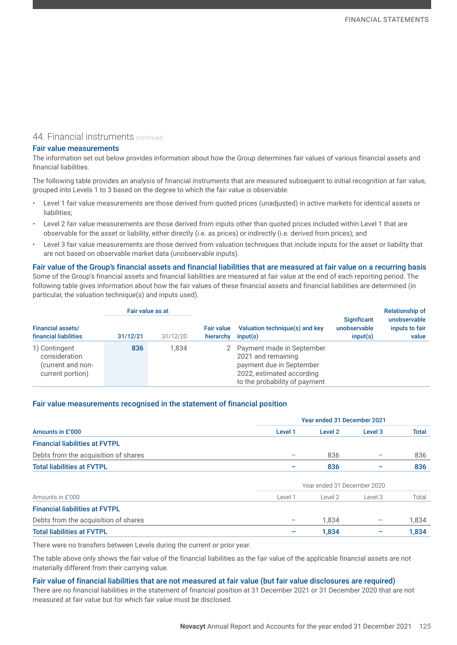# 44. Financial instruments continued

#### Fair value measurements

The information set out below provides information about how the Group determines fair values of various financial assets and financial liabilities.

The following table provides an analysis of financial instruments that are measured subsequent to initial recognition at fair value, grouped into Levels 1 to 3 based on the degree to which the fair value is observable:

- Level 1 fair value measurements are those derived from quoted prices (unadjusted) in active markets for identical assets or liabilities;
- Level 2 fair value measurements are those derived from inputs other than quoted prices included within Level 1 that are observable for the asset or liability, either directly (i.e. as prices) or indirectly (i.e. derived from prices); and
- Level 3 fair value measurements are those derived from valuation techniques that include inputs for the asset or liability that are not based on observable market data (unobservable inputs).

Fair value of the Group's financial assets and financial liabilities that are measured at fair value on a recurring basis Some of the Group's financial assets and financial liabilities are measured at fair value at the end of each reporting period. The following table gives information about how the fair values of these financial assets and financial liabilities are determined (in particular, the valuation technique(s) and inputs used).

|                                                                         | Fair value as at |          |                                |                                                                                                                                           |                                                | <b>Relationship of</b>                  |
|-------------------------------------------------------------------------|------------------|----------|--------------------------------|-------------------------------------------------------------------------------------------------------------------------------------------|------------------------------------------------|-----------------------------------------|
| <b>Financial assets/</b><br>financial liabilities                       | 31/12/21         | 31/12/20 | <b>Fair value</b><br>hierarchy | Valuation technique(s) and key<br>input(s)                                                                                                | <b>Significant</b><br>unobservable<br>input(s) | unobservable<br>inputs to fair<br>value |
| 1) Contingent<br>consideration<br>(current and non-<br>current portion) | 836              | 1.834    |                                | Payment made in September<br>2021 and remaining<br>payment due in September<br>2022, estimated according<br>to the probability of payment |                                                |                                         |

#### Fair value measurements recognised in the statement of financial position

|                                       |         | Year ended 31 December 2021 |                    |              |  |  |
|---------------------------------------|---------|-----------------------------|--------------------|--------------|--|--|
| Amounts in £'000                      | Level 1 | Level 2                     | Level <sub>3</sub> | <b>Total</b> |  |  |
| <b>Financial liabilities at FVTPL</b> |         |                             |                    |              |  |  |
| Debts from the acquisition of shares  |         | 836                         |                    | 836          |  |  |
| <b>Total liabilities at FVTPL</b>     |         | 836                         |                    | 836          |  |  |
|                                       |         | Year ended 31 December 2020 |                    |              |  |  |
| Amounts in £'000                      | Level 1 | Level 2                     | Level 3            | Total        |  |  |
| <b>Financial liabilities at FVTPL</b> |         |                             |                    |              |  |  |
| Debts from the acquisition of shares  |         | 1.834                       |                    | 1,834        |  |  |
| <b>Total liabilities at FVTPL</b>     |         | 1,834                       |                    | 1,834        |  |  |

There were no transfers between Levels during the current or prior year.

The table above only shows the fair value of the financial liabilities as the fair value of the applicable financial assets are not materially different from their carrying value.

#### Fair value of financial liabilities that are not measured at fair value (but fair value disclosures are required)

There are no financial liabilities in the statement of financial position at 31 December 2021 or 31 December 2020 that are not measured at fair value but for which fair value must be disclosed.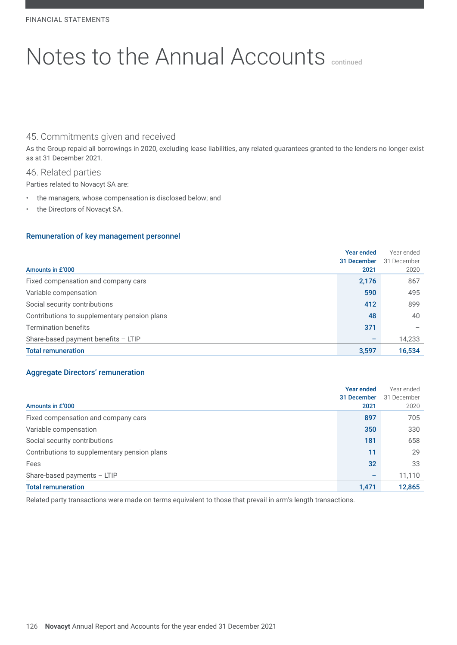# 45. Commitments given and received

As the Group repaid all borrowings in 2020, excluding lease liabilities, any related guarantees granted to the lenders no longer exist as at 31 December 2021.

#### 46. Related parties

Parties related to Novacyt SA are:

- the managers, whose compensation is disclosed below; and
- the Directors of Novacyt SA.

#### Remuneration of key management personnel

| Amounts in £'000                             | <b>Year ended</b><br>31 December<br>2021 | Year ended<br>31 December<br>2020 |
|----------------------------------------------|------------------------------------------|-----------------------------------|
| Fixed compensation and company cars          | 2,176                                    | 867                               |
| Variable compensation                        | 590                                      | 495                               |
| Social security contributions                | 412                                      | 899                               |
| Contributions to supplementary pension plans | 48                                       | 40                                |
| Termination benefits                         | 371                                      |                                   |
| Share-based payment benefits - LTIP          |                                          | 14,233                            |
| <b>Total remuneration</b>                    | 3,597                                    | 16,534                            |

#### Aggregate Directors' remuneration

|                                              | Year ended  | Year ended  |
|----------------------------------------------|-------------|-------------|
|                                              | 31 December | 31 December |
| Amounts in £'000                             | 2021        | 2020        |
| Fixed compensation and company cars          | 897         | 705         |
| Variable compensation                        | 350         | 330         |
| Social security contributions                | 181         | 658         |
| Contributions to supplementary pension plans | 11          | 29          |
| Fees                                         | 32          | 33          |
| Share-based payments $-$ LTIP                |             | 11,110      |
| <b>Total remuneration</b>                    | 1,471       | 12,865      |

Related party transactions were made on terms equivalent to those that prevail in arm's length transactions.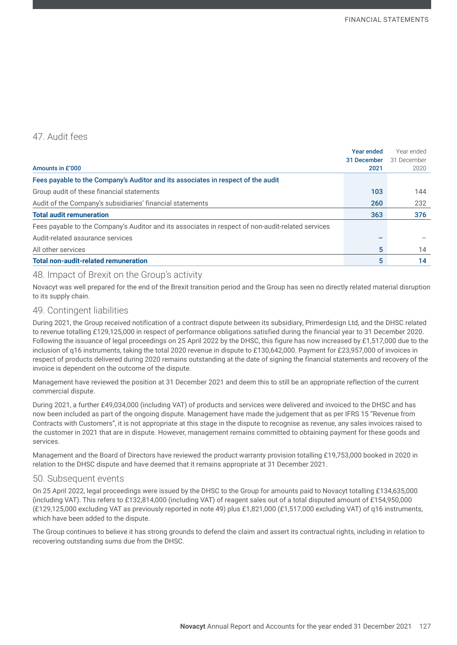# 47. Audit fees

|                                                                                                   | Year ended  | Year ended  |
|---------------------------------------------------------------------------------------------------|-------------|-------------|
|                                                                                                   | 31 December | 31 December |
| Amounts in £'000                                                                                  | 2021        | 2020        |
| Fees payable to the Company's Auditor and its associates in respect of the audit                  |             |             |
| Group audit of these financial statements                                                         | 103         | 144         |
| Audit of the Company's subsidiaries' financial statements                                         | 260         | 232         |
| <b>Total audit remuneration</b>                                                                   | 363         | 376         |
| Fees payable to the Company's Auditor and its associates in respect of non-audit-related services |             |             |
| Audit-related assurance services                                                                  |             |             |
| All other services                                                                                | 5           | 14          |
| <b>Total non-audit-related remuneration</b>                                                       | 5           | 14          |

# 48. Impact of Brexit on the Group's activity

Novacyt was well prepared for the end of the Brexit transition period and the Group has seen no directly related material disruption to its supply chain.

### 49. Contingent liabilities

During 2021, the Group received notification of a contract dispute between its subsidiary, Primerdesign Ltd, and the DHSC related to revenue totalling £129,125,000 in respect of performance obligations satisfied during the financial year to 31 December 2020. Following the issuance of legal proceedings on 25 April 2022 by the DHSC, this figure has now increased by £1,517,000 due to the inclusion of q16 instruments, taking the total 2020 revenue in dispute to £130,642,000. Payment for £23,957,000 of invoices in respect of products delivered during 2020 remains outstanding at the date of signing the financial statements and recovery of the invoice is dependent on the outcome of the dispute.

Management have reviewed the position at 31 December 2021 and deem this to still be an appropriate reflection of the current commercial dispute.

During 2021, a further £49,034,000 (including VAT) of products and services were delivered and invoiced to the DHSC and has now been included as part of the ongoing dispute. Management have made the judgement that as per IFRS 15 "Revenue from Contracts with Customers", it is not appropriate at this stage in the dispute to recognise as revenue, any sales invoices raised to the customer in 2021 that are in dispute. However, management remains committed to obtaining payment for these goods and services.

Management and the Board of Directors have reviewed the product warranty provision totalling £19,753,000 booked in 2020 in relation to the DHSC dispute and have deemed that it remains appropriate at 31 December 2021.

#### 50. Subsequent events

On 25 April 2022, legal proceedings were issued by the DHSC to the Group for amounts paid to Novacyt totalling £134,635,000 (including VAT). This refers to £132,814,000 (including VAT) of reagent sales out of a total disputed amount of £154,950,000 (£129,125,000 excluding VAT as previously reported in note 49) plus £1,821,000 (£1,517,000 excluding VAT) of q16 instruments, which have been added to the dispute.

The Group continues to believe it has strong grounds to defend the claim and assert its contractual rights, including in relation to recovering outstanding sums due from the DHSC.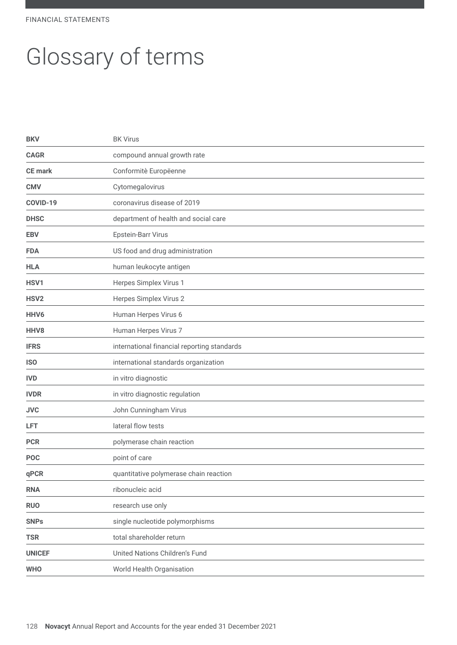FINANCIAL STATEMENTS

# Glossary of terms

| <b>BKV</b>       | <b>BK Virus</b>                             |
|------------------|---------------------------------------------|
| <b>CAGR</b>      | compound annual growth rate                 |
| <b>CE</b> mark   | Conformitè Europëenne                       |
| <b>CMV</b>       | Cytomegalovirus                             |
| COVID-19         | coronavirus disease of 2019                 |
| <b>DHSC</b>      | department of health and social care        |
| <b>EBV</b>       | Epstein-Barr Virus                          |
| <b>FDA</b>       | US food and drug administration             |
| <b>HLA</b>       | human leukocyte antigen                     |
| HSV1             | Herpes Simplex Virus 1                      |
| HSV <sub>2</sub> | Herpes Simplex Virus 2                      |
| HHV <sub>6</sub> | Human Herpes Virus 6                        |
| HHV8             | Human Herpes Virus 7                        |
| <b>IFRS</b>      | international financial reporting standards |
| <b>ISO</b>       | international standards organization        |
| <b>IVD</b>       | in vitro diagnostic                         |
| <b>IVDR</b>      | in vitro diagnostic regulation              |
| <b>JVC</b>       | John Cunningham Virus                       |
| <b>LFT</b>       | lateral flow tests                          |
| <b>PCR</b>       | polymerase chain reaction                   |
| <b>POC</b>       | point of care                               |
| qPCR             | quantitative polymerase chain reaction      |
| <b>RNA</b>       | ribonucleic acid                            |
| <b>RUO</b>       | research use only                           |
| <b>SNPs</b>      | single nucleotide polymorphisms             |
| <b>TSR</b>       | total shareholder return                    |
| <b>UNICEF</b>    | <b>United Nations Children's Fund</b>       |
| <b>WHO</b>       | World Health Organisation                   |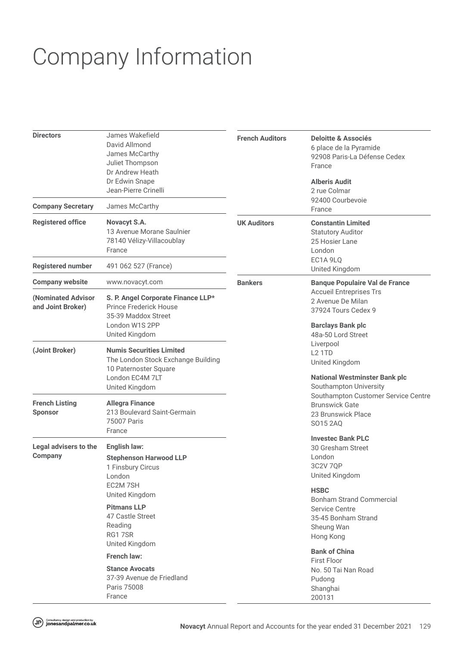# Company Information

| <b>Directors</b><br><b>Company Secretary</b>                      | James Wakefield<br>David Allmond<br>James McCarthy<br>Juliet Thompson<br>Dr Andrew Heath<br>Dr Edwin Snape<br>Jean-Pierre Crinelli<br>James McCarthy | <b>French Auditors</b> | <b>Deloitte &amp; Associés</b><br>6 place de la Pyramide<br>92908 Paris-La Défense Cedex<br>France<br><b>Alberis Audit</b><br>2 rue Colmar<br>92400 Courbevoie<br>France                                                                                                                |  |
|-------------------------------------------------------------------|------------------------------------------------------------------------------------------------------------------------------------------------------|------------------------|-----------------------------------------------------------------------------------------------------------------------------------------------------------------------------------------------------------------------------------------------------------------------------------------|--|
| <b>Registered office</b>                                          | Novacyt S.A.<br>13 Avenue Morane Saulnier<br>78140 Vélizy-Villacoublay<br>France                                                                     | <b>UK Auditors</b>     | <b>Constantin Limited</b><br><b>Statutory Auditor</b><br>25 Hosier Lane<br>London<br>EC1A 9LQ                                                                                                                                                                                           |  |
| <b>Registered number</b>                                          | 491 062 527 (France)                                                                                                                                 |                        | United Kingdom                                                                                                                                                                                                                                                                          |  |
| <b>Company website</b><br>(Nominated Advisor<br>and Joint Broker) | www.novacyt.com<br>S. P. Angel Corporate Finance LLP*<br>Prince Frederick House<br>35-39 Maddox Street<br>London W1S 2PP<br>United Kingdom           | <b>Bankers</b>         | <b>Banque Populaire Val de France</b><br><b>Accueil Entreprises Trs</b><br>2 Avenue De Milan<br>37924 Tours Cedex 9<br><b>Barclays Bank plc</b><br>48a-50 Lord Street<br>Liverpool<br><b>L2 1TD</b><br>United Kingdom<br><b>National Westminster Bank plc</b><br>Southampton University |  |
| (Joint Broker)                                                    | <b>Numis Securities Limited</b><br>The London Stock Exchange Building<br>10 Paternoster Square<br>London EC4M 7LT<br>United Kingdom                  |                        |                                                                                                                                                                                                                                                                                         |  |
| <b>French Listing</b><br><b>Sponsor</b>                           | <b>Allegra Finance</b><br>213 Boulevard Saint-Germain<br>75007 Paris<br>France                                                                       |                        | Southampton Customer Service Centre<br><b>Brunswick Gate</b><br>23 Brunswick Place<br>SO15 2AQ                                                                                                                                                                                          |  |
| Legal advisers to the<br><b>Company</b>                           | English law:<br><b>Stephenson Harwood LLP</b><br>1 Finsbury Circus<br>London<br>EC2M 7SH<br>United Kingdom                                           |                        | <b>Investec Bank PLC</b><br>30 Gresham Street<br>London<br>3C2V 7QP<br>United Kingdom<br><b>HSBC</b>                                                                                                                                                                                    |  |
|                                                                   | <b>Pitmans LLP</b><br>47 Castle Street<br>Reading<br>RG17SR<br>United Kingdom                                                                        |                        | <b>Bonham Strand Commercial</b><br><b>Service Centre</b><br>35-45 Bonham Strand<br>Sheung Wan<br>Hong Kong                                                                                                                                                                              |  |
|                                                                   | French law:                                                                                                                                          |                        | <b>Bank of China</b><br><b>First Floor</b>                                                                                                                                                                                                                                              |  |
|                                                                   | <b>Stance Avocats</b><br>37-39 Avenue de Friedland<br>Paris 75008<br>France                                                                          |                        | No. 50 Tai Nan Road<br>Pudong<br>Shanghai<br>200131                                                                                                                                                                                                                                     |  |